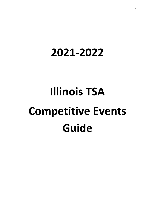# **2021-2022**

# **Illinois TSA Competitive Events Guide**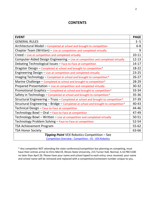#### **CONTENTS**

| <b>EVENT</b>                                                                      | <b>PAGE</b> |
|-----------------------------------------------------------------------------------|-------------|
| <b>GENERAL RULES</b>                                                              | $3 - 5$     |
| Architectural Model - Completed at school and brought to competition              | $6 - 8$     |
| Chapter Team (Written) - Live at competition and completed virtually              | 9           |
| Creed - Live at competition and completed virtually                               | $10 - 11$   |
| Computer-Aided Design Engineering - Live at competition and completed virtually   | $12 - 13$   |
| Debating Technological Issues - Face-to-Face at competition                       | $14 - 17$   |
| Dragster Design - Completed at school and brought to competition*                 | 18-22       |
| Engineering Design - Live at competition and completed virtually                  | $23 - 25$   |
| Imaging Technology – Completed at school and brought to competition*              | $26 - 27$   |
| Marine Challenge - Completed at school and brought to competition*                | 28-29       |
| Prepared Presentation - Live at competition and completed virtually               | $30 - 32$   |
| Promotional Graphics - Completed at school and brought to competition*            | 33-34       |
| Safety in Technology - Completed at school and brought to competition*            | 35-36       |
| Structural Engineering - Truss - Completed at school and brought to competition*  | 37-39       |
| Structural Engineering - Bridge - Completed at school and brought to competition* | 40-43       |
| Technical Design - Face-to-Face at competition                                    | 44-46       |
| Technology Bowl - Oral - Face-to-Face at competition                              | 47-49       |
| Technology Bowl - Written - Live at competition and completed virtually           | 50-51       |
| Technology Problem Solving - Face-to-Face at competition                          | $52 - 54$   |
| <b>TSA Achievement Program</b>                                                    | $55 - 62$   |
| <b>TSA Honor Society</b>                                                          | 63-66       |
| Tipping Point VEX Robotics Competition - See                                      |             |

[Competition Overview -](https://www.vexrobotics.com/v5/competition/vrc-current-game) Competition - V5 - VEX Robotics

\* Any competitor NOT attending the state conference/competition but planning on competing, must have their entries arrive to Chris Merrill, Illinois State University, 215 Turner Hall, Normal, IL 61790-5100 no later than April 26. Please have your name and school taped to each entry; once received, your name and school name will be removed and replaced with a competition/contestant number unique to you.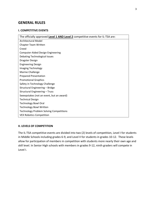#### **GENERAL RULES**

#### **I. COMPETITIVE EVENTS**

| The officially approved Level 1 AND Level 2 competitive events for IL-TSA are: |
|--------------------------------------------------------------------------------|
| Architectural Model                                                            |
| Chapter Team Written                                                           |
| Creed                                                                          |
| <b>Computer-Aided Design Engineering</b>                                       |
| <b>Debating Technological Issues</b>                                           |
| Dragster Design                                                                |
| <b>Engineering Design</b>                                                      |
| Imaging Technology                                                             |
| Marine Challenge                                                               |
| <b>Prepared Presentation</b>                                                   |
| <b>Promotional Graphics</b>                                                    |
| Safety in Technology Challenge                                                 |
| Structural Engineering - Bridge                                                |
| Structural Engineering - Truss                                                 |
| Sweepstakes (not an event, but an award)                                       |
| <b>Technical Design</b>                                                        |
| <b>Technology Bowl Oral</b>                                                    |
| <b>Technology Bowl Written</b>                                                 |
| <b>Technology Problem Solving Competitions</b>                                 |
| <b>VEX Robotics Competition</b>                                                |

#### **II. LEVELS OF COMPETITION**

The IL-TSA competitive events are divided into two (2) levels of competition, Level I for students in Middle Schools including grades 6-9, and Level II for students in grades 10-12. These levels allow for participation of members in competition with students more nearly their own age and skill level. In Senior High schools with members in grades 9-12, ninth graders will compete in Level I.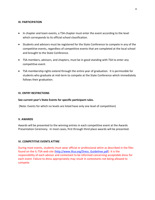#### **III. PARTICIPATION**

- In chapter and team events, a TSA chapter must enter the event according to the level which corresponds to its official school classification.
- Students and advisors must be registered for the State Conference to compete in any of the competitive events, regardless of competitive events that are completed at the local school and brought to the State Conference.
- TSA members, advisors, and chapters, must be in good standing with TSA to enter any competitive event.
- TSA membership rights extend through the entire year of graduation. It is permissible for students who graduate at mid-term to compete at the State Conference which immediately follows their graduation.

#### **IV. ENTRY RESTRICTIONS**

#### **See current year's State Events for specific participant rules.**

(Note: Events for which no levels are listed have only one level of competition)

#### **V. AWARDS**

Awards will be presented to the winning entries in each competitive event at the Awards Presentation Ceremony. In most cases, first through third place awards will be presented.

#### **VI. COMPETITIVE EVENTS ATTIRE**

During most events, students must wear official or professional attire as described in the files found on the IL-TSA web site [\(http://www.iltsa.org/Dress\\_Guidelines.pdf\)](http://www.iltsa.org/Dress_Guidelines.pdf). It is the responsibility of each advisor and contestant to be informed concerning acceptable dress for each event. Failure to dress appropriately may result in contestants not being allowed to compete.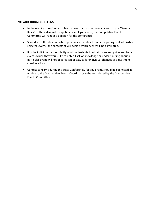#### **VII. ADDITIONAL CONCERNS**

- In the event a question or problem arises that has not been covered in the "General Rules" or the individual competitive event guidelines, the Competitive Events Committee will render a decision for the conference.
- Should a conflict develop which prevents a member from participating in all of his/her selected events, the contestant will decide which event will be eliminated.
- It is the individual responsibility of all contestants to obtain rules and guidelines for all events which they would like to enter. Lack of knowledge or understanding about a particular event will not be a reason or excuse for individual changes or adjustment considerations.
- Contest concerns during the State Conference, for any event, should be submitted in writing to the Competitive Events Coordinator to be considered by the Competitive Events Committee.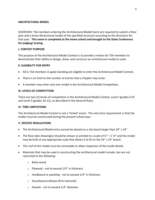#### **ARCHITECTURAL MODEL**

OVERVIEW: TSA members entering the Architectural Model Event are required to submit a floor plan and a three-dimensional model of the specified structure according to the directions for that year. **This event is completed at the home school and brought to the State Conference for judging/ testing.**

#### **I. CONTEST PURPOSE**

The purpose of the Architectural Model Contest is to provide a means for TSA members to demonstrate their ability to design, draw, and construct an architectural model to scale.

#### **II. ELIGIBILITY FOR ENTRY**

- All IL-TSA members in good standing are eligible to enter the Architectural Model Contest.
- There is no limit to the number of entries that a chapter may enter.
- A member may enter only one model in the Architectural Model Competition.

#### **III. LEVELS OF COMPETITION**

There are two (2) levels of competition in the Architectural Model Contest, Level I (grades 6-9) and Level II (grades 10-12), as described in the General Rules.

#### **IV. TIME LIMITATIONS**

The Architectural Model Contest is not a "timed" event. The only time requirement is that the model must be constructed during the present school year.

#### **V. SPECIFIC REGULATIONS**

- The Architectural Model entry cannot be placed on a site board larger than 24" x 24".
- The floor plan drawing(s) should be drawn or printed to a scale of  $\mathcal{U}'' = 1'$ -0" and the model may be built at any appropriate scale that allows it to fit on the 24" x 24" board.
- The roof of the model must be removable to allow inspection of the inside details.
- Materials that may be used in constructing the architectural model include, but are not restricted to the following:
	- o Balsa wood
	- o Plywood not to exceed 1/4" in thickness
	- o Hardboard or paneling not to exceed 1/4" in thickness
	- o Styrofoam/urethane (firm textured)
	- o Dowels not to exceed 1/4" diameter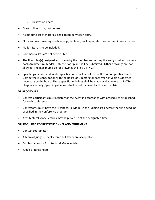- o Illustration board
- Glass or liquid may not be used.
- A complete list of materials shall accompany each entry.
- Floor and wall coverings such as rugs, linoleum, wallpaper, etc. may be used in construction.
- No furniture is to be included.
- Commercial kits are not permissible.
- The floor plan(s) designed and drawn by the member submitting the entry must accompany each Architectural Model. Only the floor plan shall be submitted. Other drawings are not allowed. The maximum size for drawings shall be 24" X 24".
- Specific guidelines and model specifications shall be set by the IL-TSA Competitive Events Committee in consultation with the Board of Directors for each year or years as deemed necessary by the board. These specific guidelines shall be made available to each IL-TSA chapter annually. Specific guidelines shall be set for Level I and Level II entries.

#### **VI. PROCEDURE**

- Contest participants must register for the event in accordance with procedures established for each conference.
- Contestants must have the Architectural Model in the judging area before the time deadline specified in the conference program.
- Architectural Model entries may be picked up at the designated time.

#### **VII. REQUIRED CONTEST PERSONNEL AND EQUIPMENT**

- Contest coordinator
- A team of judges ideally three but fewer are acceptable
- Display tables for Architectural Model entries
- Judge's rating sheets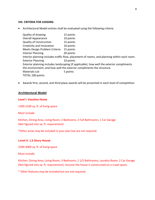#### **VIII. CRITERIA FOR JUDGING**

• Architectural Model entries shall be evaluated using the following criteria.

| Quality of drawing             | 15 points                                                                                   |
|--------------------------------|---------------------------------------------------------------------------------------------|
| <b>Overall Appearance</b>      | 10 points                                                                                   |
| <b>Quality of Construction</b> | 15 points                                                                                   |
| Creativity and Innovation      | 10 points                                                                                   |
| Meets Design Problem Criteria  | 15 points                                                                                   |
| <b>Interior Planning</b>       | 20 points                                                                                   |
|                                | Interior planning includes traffic flow, placement of rooms, and planning within each room. |
| <b>Exterior Planning</b>       | 10 points                                                                                   |
|                                | Exterior planning includes landscaping (if applicable), how well the exterior compliments   |
|                                | the environment, and how well the exterior compliments the structure.                       |
| <b>Materials List</b>          | 5 points                                                                                    |
| TOTAL 100 points               |                                                                                             |

• Awards first, second, and third place awards will be presented in each level of competition.

#### **Architectural Model**

#### **Level I: Vacation Home**

1500-2100 sq. ft. of living space

Must include:

Kitchen, Dining Area, Living Room, 2 Bedrooms, 2 Full Bathrooms, 1 Car Garage (Not figured into sq. ft. requirement)

\*Other areas may be included in your plan but are not required.

#### **Level II: 1.5 Story House**

2500-3000 sq. ft. of living space

Must include:

Kitchen, Dining Area, Living Room, 3 Bedrooms, 2 1/2 Bathrooms, Laundry Room, 2 Car Garage (Not figured into sq. ft. requirement). Assume the house is constructed on a crawl space.

\* Other features may be included but are not required.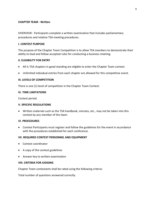#### **CHAPTER TEAM - Written**

OVERVIEW: Participants complete a written examination that includes parliamentary procedures and relative TSA meeting procedures.

#### **I. CONTEST PURPOSE**

The purpose of the Chapter Team Competition is to allow TSA members to demonstrate their ability to lead and follow accepted rules for conducting a business meeting.

#### **II. ELIGIBILITY FOR ENTRY**

- All IL-TSA chapters in good standing are eligible to enter the Chapter Team contest.
- Unlimited individual entries from each chapter are allowed for this competitive event.

#### **III. LEVELS OF COMPETITION**

There is one (1) level of competition in the Chapter Team Contest.

#### **IV. TIME LIMITATIONS**

Contest period.

#### **V. SPECIFIC REGULATIONS**

• Written materials such as the TSA handbook, minutes, etc., may not be taken into this contest by any member of the team.

#### **VI. PROCEDURES**

• Contest Participants must register and follow the guidelines for the event in accordance with the procedures established for each conference.

#### **VII. REQUIRED CONTEST PERSONNEL AND EQUIPMENT**

- Contest coordinator
- A copy of the contest guidelines
- Answer key to written examination

#### **VIII. CRITERIA FOR JUDGING**

Chapter Team contestants shall be rated using the following criteria:

Total number of questions answered correctly.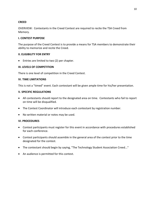#### **CREED**

OVERVIEW: Contestants in the Creed Contest are required to recite the TSA Creed from Memory.

#### **I. CONTEST PURPOSE**

The purpose of the Creed Contest is to provide a means for TSA members to demonstrate their ability to memorize and recite the Creed.

#### **II. ELIGIBILITY FOR ENTRY**

• Entries are limited to two (2) per chapter.

#### **III. LEVELS OF COMPETITION**

There is one level of competition in the Creed Contest.

#### **IV. TIME LIMITATIONS**

This is not a "timed" event. Each contestant will be given ample time for his/her presentation.

#### **V. SPECIFIC REGULATIONS**

- All contestants should report to the designated area on time. Contestants who fail to report on time will be disqualified.
- The Contest Coordinator will introduce each contestant by registration number.
- No written material or notes may be used.

#### **VI. PROCEDURES**

- Contest participants must register for this event in accordance with procedures established for each conference.
- Contest participants should assemble in the general area of the contest prior to the time designated for the contest.
- The contestant should begin by saying, "The Technology Student Association Creed..."
- An audience is permitted for this contest.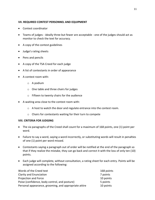#### **VII. REQUIRED CONTEST PERSONNEL AND EQUIPMENT**

- Contest coordinator
- Teams of judges ideally three but fewer are acceptable one of the judges should act as monitor to check the text for accuracy.
- A copy of the contest guidelines
- Judge's rating sheets
- Pens and pencils
- A copy of the TSA Creed for each judge
- A list of contestants in order of appearance
- A contest room with:
	- o A podium
	- o One table and three chairs for judges
	- o Fifteen to twenty chairs for the audience
- A waiting area close to the contest room with:
	- o A host to watch the door and regulate entrance into the contest room.
	- o Chairs for contestants waiting for their turn to compete

#### **VIII. CRITERIA FOR JUDGING**

- The six paragraphs of the Creed shall count for a maximum of 168 points, one (1) point per word.
- Failure to say a word, saying a word incorrectly, or substituting words will result in penalties of one (1) point per word missed.
- Contestants saying a paragraph out of order will be notified at the end of the paragraph so that if they realize the mistake, they can go back and correct it with the loss of only ten (10) points.
- Each judge will complete, without consultation, a rating sheet for each entry. Points will be assigned according to the following:

| Words of the Creed text                               | 168 points |
|-------------------------------------------------------|------------|
| Clarity and Enunciation                               | 7 points   |
| Projection and Force                                  | 10 points  |
| Poise (confidence, body control, and posture)         | 5 points   |
| Personal appearance, grooming, and appropriate attire | 10 points  |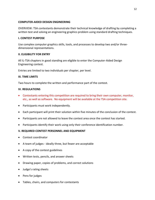#### **COMPUTER-AIDED DESIGN ENGINEERING**

OVERVIEW: TSA contestants demonstrate their technical knowledge of drafting by completing a written test and solving an engineering graphics problem using standard drafting techniques.

#### **I. CONTEST PURPOSE**

Use complex computer graphics skills, tools, and processes to develop two and/or threedimensional representations.

#### **II. ELIGIBILITY FOR ENTRY**

All IL-TSA chapters in good standing are eligible to enter the Computer-Aided Design Engineering contest.

Entries are limited to two individuals per chapter, per level.

#### **III. TIME LIMITS**

Two hours to complete the written and performance part of the contest.

#### **IV. REGULATIONS**

- Contestants entering this competition are required to bring their own computer, monitor, etc., as well as software. No equipment will be available at the TSA competition site.
- Participants must work independently.
- Each participant will print their solution within five minutes of the conclusion of the contest.
- Participants are not allowed to leave the contest area once the contest has started.
- Participants identify their work using only their conference identification number.

#### **V. REQUIRED CONTEST PERSONNEL AND EQUIPMENT**

- Contest coordinator
- A team of judges ideally three, but fewer are acceptable
- A copy of the contest guidelines
- Written tests, pencils, and answer sheets
- Drawing paper, copies of problems, and correct solutions
- Judge's rating sheets
- Pens for judges
- Tables, chairs, and computers for contestants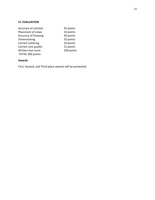#### **VI. EVALUATION**

| 35 points  |
|------------|
| 10 points  |
| 20 points  |
| 10 points  |
| 10 points  |
| 15 points  |
| 100 points |
|            |
|            |

#### **Awards**

First, Second, and Third place awards will be presented.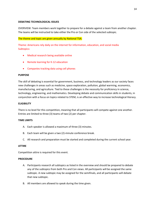#### **DEBATING TECHNOLOGICAL ISSUES**

OVERVIEW: Team members work together to prepare for a debate against a team from another chapter. The teams will be instructed to take either the Pro or Con side of the selected subtopic.

#### The theme and topic are given annually by National TSA:

Theme: Americans rely daily on the internet for information, education, and social media Subtopics:

- Medical research being available online
- Remote learning for K-12 education
- Companies tracking data using cell phones

#### **PURPOSE**

The skill of debating is essential for government, business, and technology leaders as our society faces new challenges in areas such as medicine, space exploration, pollution, global warming, economics, manufacturing, and agriculture. Tied to these challenges is the necessity for proficiency in science, technology, engineering, and mathematics. Developing debate and communication skills in students, in conjunction with a focus on topics related to STEM, is an effective way to increase technological literacy.

#### **ELIGIBILITY**

There is no level for this competition, meaning that all participants will compete against one another. Entries are limited to three (3) teams of two (2) per chapter.

#### **TIME LIMITS**

- A. Each speaker is allowed a maximum of three (3) minutes.
- B. Each team will be given a two (2)-minute conference break.
- C. All research and preparation must be started and completed during the current school year.

#### **ATTIRE**

Competition attire is required for this event.

#### **PROCEDURE**

- A. Participants research all subtopics as listed in the overview and should be prepared to debate any of the subtopics from both Pro and Con views. All participants will be assigned the same subtopic. A new subtopic may be assigned for the semifinals, and all participants will debate that new subtopic.
- B. All members are allowed to speak during the time given.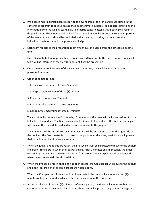- C. Pre-debate meeting: Participants report to the event area at the time and place stated in the conference program to receive an assigned debate time, a subtopic, and general directions and information from the judging team. Failure of participants to attend this meeting will result in disqualification. This meeting will be held for both preliminary heats and the semifinals portion of the event. Students should be reminded in this meeting that they may not state their individual or school name in the presence of judges.
- D. Each team reports to the preparation room fifteen (15) minutes before the scheduled debate time.
- E. One (1) minute before opposing teams are instructed to report to the presentation room, each team will be informed of the view (Pro or Con) it will be presenting.
- F. Once the teams are informed of the view they are to take, they will be escorted to the presentation room.
- G. Order of debate format.
	- 1. Pro speaker, maximum of three (3) minutes
	- 2. Con speaker, maximum of three (3) minutes
	- 3. Conference break, two (2) minutes
	- 4. Pro rebuttal, maximum of three (3) minutes
	- 5. Con rebuttal, maximum of three (3) minutes
- H. The escort will introduce the Pro team by ID number and the team will be instructed to sit to the left side of the podium. The first speaker should sit next to the podium. At this time, participants will present their schedule card and reference summary to the judges.
- I. The Con team will be introduced by ID number and will be instructed to sit to the right side of the podium. The first speaker is to sit next to the podium. At this time, participants will present their schedule card and reference summary.
- J. When the judges and teams are ready, the Pro speaker will be instructed to move to the podium and begin. Timing starts when the speaker begins. After 2 minutes and 45 seconds, the timer will hold up a 4" x 6" card on which is written "15 seconds." Penalty points will be deducted when a speaker exceeds the allotted time.
- K. When the Pro speaker is finished and has been seated, the Con speaker will move to the podium and begin, according to the same procedure noted above.
- L. When the Con speaker is finished and has been seated, the timer will announce a two (2) minute conference period in which both teams may prepare their rebuttal.
- M. At the conclusion of the two (2)-minute conference period, the timer will announce that the conference period is over and the Pro rebuttal speaker will approach the podium. Timing starts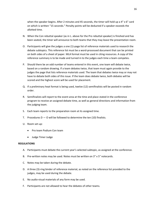when the speaker begins. After 2 minutes and 45 seconds, the timer will hold up a 4" x 6" card on which is written "15 seconds." Penalty points will be deducted if a speaker exceeds the allotted time.

- N. When the Con rebuttal speaker (as in L. above for the Pro rebuttal speaker) is finished and has been seated, the timer will announce to both teams that they may leave the presentation room.
- O. Participants will give the judges a one (1)-page list of reference materials used to research the debate subtopics. This reference list must be a word-processed document that can be printed on both sides of a sheet of paper. MLA format must be used in citing resources. A copy of the reference summary is to be made and turned in to the judges each time a team competes.
- P. Should there be an odd number of teams entered in this event, one team will debate twice, based on a random drawing. If a team debates twice, that team must again provide to the judges the page that lists reference materials used. The team that debates twice may or may not have to debate both sides of this issue. If the team does debate twice, both debates will be scored and the highest score will be used for placement.
- Q. If a preliminary heat format is being used, twelve (12) semifinalists will be posted in random order.
- R. Semifinalists will report to the event area at the time and place stated in the conference program to receive an assigned debate time, as well as general directions and information from the judging team.
- S. Each team reports to the preparation room at its assigned time.
- T. Procedures  $D O$  will be followed to determine the ten (10) finalists.
- U. Room set-up:
	- Pro team Podium Con team
	- Judge Timer Judge

#### **REGULATIONS**

- A. Participants must debate the current year's selected subtopic, as assigned at the conference.
- B. Pre-written notes may be used. Notes must be written on 3" x 5" notecards.
- C. Notes may be taken during the debate.
- D. A three (3)-ring binder of reference material, as noted on the reference list provided to the judges, may be used during the debate.
- E. No audio-visual materials of any form may be used.
- F. Participants are not allowed to hear the debates of other teams.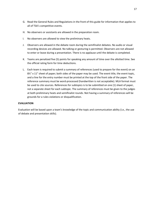- G. Read the General Rules and Regulations in the front of this guide for information that applies to all of TSA's competitive events.
- H. No observers or assistants are allowed in the preparation room.
- I. No observers are allowed to view the preliminary heats.
- J. Observers are allowed in the debate room during the semifinalist debates. No audio or visual recording devices are allowed. No talking or gesturing is permitted. Observers are not allowed to enter or leave during a presentation. There is no applause until the debate is completed.
- K. Teams are penalized five (5) points for speaking any amount of time over the allotted time. See the official rating form for time deductions.
- L. Each team is required to submit a summary of references (used to prepare for the event) on an 8<sup>1</sup>/<sub>2</sub>" x 11" sheet of paper; both sides of the paper may be used. The event title, the event topic, and a line for the entry number must be printed at the top of the front side of the paper. The reference summary must be word-processed (handwritten is not acceptable). MLA format must be used to cite sources. References for subtopics is to be submitted on one (1) sheet of paper, not a separate sheet for each subtopic. The summary of references must be given to the judges at both preliminary heats and semifinalist rounds. Not having a summary of references will be grounds for a rules violations or disqualification.

#### **EVALUATION**

Evaluation will be based upon a team's knowledge of the topic and communication ability (i.e., the use of debate and presentation skills).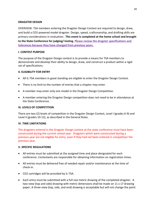#### **DRAGSTER DESIGN**

OVERVIEW: TSA members entering the Dragster Design Contest are required to design, draw, and build a CO2-powered model dragster. Design, speed, craftsmanship, and drafting skills are primary considerations in evaluation. **This event is completed at the home school and brought to the State Conference for judging/ testing. Please review the dragster specifications and tolerances because they have changed from previous years.**

#### **I. CONTEST PURPOSE**

The purpose of the Dragster Design contest is to provide a means for TSA members to demonstrate and develop their ability to design, draw, and construct a product within a rigid set of specifications.

#### **II. ELIGIBILITY FOR ENTRY**

- All IL-TSA members in good standing are eligible to enter the Dragster Design Contest.
- There is no limit to the number of entries that a chapter may enter.
- A member may enter only one model in the Dragster Design Competition.
- A member entering the Dragster Design competition does not need to be in attendance at the State Conference.

#### **III. LEVELS OF COMPETITION**

There are two (2) levels of competition in the Dragster Design Contest, Level I (grades 6-9) and Level II (grades 10-12), as described in the General Rules.

#### **IV. TIME LIMITATIONS**

The dragsters entered in the Dragster Design contest at the state conference must have been constructed during the current school year. Dragsters which were constructed during a previous year are not eligible for entry, even if they had not been entered in competition the previous year.

#### **V. SPECIFIC REGULATIONS**

- All entries must be submitted at the assigned time and place designated for each conference. Contestants are responsible for obtaining information on registration times.
- All entries must be delivered free of needed repair and/or maintenance at the time of check-in.
- CO2 cartridges will be provided by IL-TSA.
- Each entry must be submitted with a full size metric drawing of the completed dragster. A two-view (top and side) drawing with metric dimensions shall be made on 11 x 17 drawing paper. A three-view (top, side, and end) drawing is acceptable but will not change the point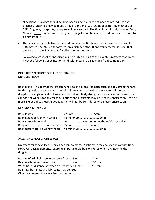allocations. Drawings should be developed using standard engineering procedures and practices. Drawings may be made using ink or pencil with traditional drafting methods or CAD. Originals, blueprints, or copies will be accepted. The title block will only include "Entry Number \_\_\_\_\_," which will be assigned at registration time and placed on the entry prior to being turned in.

- The official distance between the start line and the finish line on the race track is twenty (20) meters (65'-7½"). If for any reason a distance other than twenty meters is used, that distance will remain constant for all entries in the event.
- Following a strict set of specifications is an integral part of this event. Dragsters that do not meet the following specifications and tolerances are disqualified from competition.

#### DRAGSTER SPECIFICATIONS AND TOLERANCES DRAGSTER BODY

Body Blank - The body of the dragster shall be one-piece. No parts such as body strengtheners, fenders, plastic canopy, exhausts, or air foils may be attached to or enclosed within the dragster. Fiberglass or shrink wrap are considered body strengtheners and cannot be used on car body or wheels for any reason. Bearings and lubricants may be used in construction. Two or more like or unlike pieces glued together will not be considered one-piece construction.

#### MINIMUM MAXIMUM

| Body length                       | 275mm 285mm    |
|-----------------------------------|----------------|
| Body height at rear with wheels   |                |
| Body mass with wheels             |                |
| Body width at axles, front & rear | .35mm 42mm     |
| Body total width including wheels | no minimum90mm |

#### AXLES, AXLE HOLES, WHEELBASE

Dragsters must have two (2) axles per car, no more. Plastic axles may be used in competition. However, design elements regarding impact should be considered when engineering the dragster.

| Bottom of axle hole above bottom of car                | 5mm 10mm   |  |
|--------------------------------------------------------|------------|--|
| Rear axle hole from rear of car                        | 9mm  100mm |  |
| Wheelbase - distance between axle centers 105mm 270 mm |            |  |
| Bearings, bushings, and lubricants may be used.        |            |  |
| Glue may be used to secure bearings to body.           |            |  |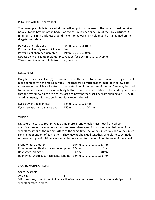#### POWER PLANT (CO2 cartridge) HOLE

The power plant hole is located at the farthest point at the rear of the car and must be drilled parallel to the bottom of the body blank to assure proper puncture of the CO2 cartridge. A minimum of 3 mm thickness around the entire power plant hole must be maintained on the dragster for safety.

Power plant hole depth 45mm ..............55mm Power plant safety zone thickness 3mm Power plant chamber diameter 19mm …………….20mm Lowest point of chamber diameter to race surface 26mm ..............40mm \*Measured to center of hole from body bottom

#### EYE SCREWS

Dragsters must have two (2) eye screws per car that meet tolerances, no more. They must not make contact with the racing surface. The track string must pass through both screw both screw eyelets, which are located on the center line of the bottom of the car. Glue may be used to reinforce the eye screws in the body bottom. It is the responsibility of the car designer to see that the eye screw holes are tightly closed to prevent the track line from slipping out. As with all adjustments, this must be done prior to event check-in.

| Eye screw inside diameter         | 3 mm  5mm    |  |
|-----------------------------------|--------------|--|
| Eye screw spacing, distance apart | 150mm  270mm |  |

#### **WHEELS**

Dragsters must have four (4) wheels, no more. Front wheels must meet front wheel specifications and rear wheels must meet rear wheel specifications as listed below. All four wheels must touch the racing surface at the same time. All wheels must roll. The wheels must remain independent of each other. They may not be glued together. Wheels must be made entirely from plastic. Dimensions must be consistent for the full circumference of the wheel.

| Front wheel diameter                                 | 30mm 37mm |
|------------------------------------------------------|-----------|
| Front wheel width at surface contact point 1.5mm 5mm |           |
| Rear wheel diameter                                  |           |
| Rear wheel width at surface contact point 12mm 18 mm |           |

#### SPACER WASHERS, CLIPS

Spacer washers 8 Axle clips 8

Silicone or any other type of glue or adhesive may not be used in place of wheel clips to hold wheels or axles in place.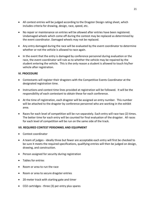- All contest entries will be judged according to the Dragster Design rating sheet, which includes criteria for drawing, design, race, speed, etc.
- No repair or maintenance on entries will be allowed after entries have been registered. Undamaged wheels which come off during the contest may be replaced as determined by the event coordinator. Damaged wheels may not be replaced.
- Any entry damaged during the race will be evaluated by the event coordinator to determine whether or not the vehicle is allowed to race again.
- In the event that the entry is damaged by conference personnel during evaluation or the race, the event coordinator will rule as to whether the vehicle may be repaired by the student entering the vehicle. This is the only reason a student is allowed to touch his/her vehicle after registration.

#### **VI. PROCEDURE**

- Contestants will register their dragsters with the Competitive Events Coordinator at the designated registration time.
- Instructions and contest time lines provided at registration will be followed. It will be the responsibility of each contestant to obtain these for each conference.
- At the time of registration, each dragster will be assigned an entry number. This number will be attached to the dragster by conference personnel who are working in the exhibit area.
- Races for each level of competition will be run separately. Each entry will race two (2) times. The better time for each entry will be counted for final evaluation of the dragster. All races for each level of competition will be run on the same side of the track.

#### **VII. REQUIRED CONTEST PERSONNEL AND EQUIPMENT**

- Contest coordinator
- A team of judges ideally three but fewer are acceptable each entry will first be checked to be sure it meets the required specifications, qualifying entries will then be judged on design, drawing, and construction.
- Person assigned for security during registration
- Tables for entries
- Room or area to run the race
- Room or area to secure dragster entries
- 20-meter track with starting gate and timer
- CO2 cartridges three (3) per entry plus spares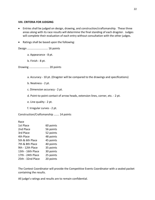#### **VIII. CRITERIA FOR JUDGING**

- Entries shall be judged on design, drawing, and construction/craftsmanship. These three areas along with its race results will determine the final standing of each dragster. Judges will complete their evaluation of each entry without consultation with the other judges.
- Ratings shall be based upon the following:

Design ........................... 16 points

a. Appearance - 8 pt.

b. Finish - 8 pt.

Drawing .......................... 20 points

a. Accuracy - 10 pt. (Dragster will be compared to the drawings and specifications)

b. Neatness - 2 pt.

- c. Dimension accuracy 2 pt.
- d. Point-to-point contact of arrow heads, extension lines, corner, etc. 2 pt.
- e. Line quality 2 pt.

f. Irregular curves - 2 pt.

Construction/Craftsmanship ....... 14 points

Race

| 1st Place         | 60 points |
|-------------------|-----------|
| 2nd Place         | 56 points |
| 3rd Place         | 52 points |
| 4th Place         | 48 points |
| 5th & 6th Place   | 45 points |
| 7th & 8th Place   | 40 points |
| 9th - 12th Place  | 35 points |
| 13th - 16th Place | 30 points |
| 17th - 24th Place | 25 points |
| 25th - 32nd Place | 20 points |

The Contest Coordinator will provide the Competitive Events Coordinator with a sealed packet containing the results.

All judge's ratings and results are to remain confidential.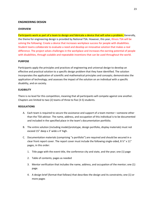#### **ENGINEERING DESIGN**

#### **OVERVIEW**

Participants work as part of a team to design and fabricate a device that will solve a problem. Generally, the theme for engineering design is provided by National TSA. However, this year, Illinois TSA will be solving the following: Create a device that increases workplace success for people with disabilities. Student teams collaborate to evaluate a need and develop an innovative solution that makes a real difference. The project solves challenges in the workplace and increases the earning potential of people with disabilities, through scalable and repeatable inventions that can be used throughout the world.

#### **PURPOSE**

Participants apply the principles and practices of engineering and universal design to develop an effective and practical solution to a specific design problem that they have identified. The solution incorporates the application of scientific and mathematical principles and concepts; demonstrates the application of technology; and assesses the impact of the solution on an individual with a specific disability, and on society.

#### **ELIGIBILITY**

There is no level for this competition, meaning that all participants will compete against one another. Chapters are limited to two (2) teams of three to five (3-5) students.

#### **REGULATIONS**

- A. Each team is required to secure the assistance and support of a team mentor—someone other than the TSA advisor. The name, address, and occupation of this individual is to be documented and included in the specified place in the team's documentation portfolio.
- B. The entire solution (including model/prototype, design portfolio, display materials) must not exceed 15" deep x 3' wide x 4' high.
- C. Documentation materials (comprising "a portfolio") are required and should be secured in a clear front report cover. The report cover must include the following single-sided, 8  $\frac{1}{2}$ " x 11" pages, in this order:
	- 1. Title page with the event title, the conference city and state, and the year; one (1) page
	- 2. Table of contents; pages as needed
	- 3. Mentor verification that includes the name, address, and occupation of the mentor; one (1) page.
	- 4. A design brief (format that follows) that describes the design and its constraints; one (1) or more pages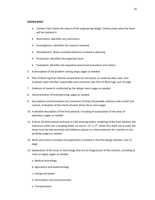#### **DESIGN BRIEF**

- Context Task: States the nature of the engineering design; Clearly states what the team will be involved in
- Restrictions: Identifies any restrictions
- Investigations: Identifies the research involved
- Development: States essential elements involved in planning
- Production: Identifies the expected result
- Evaluation: Identifies the expected assessment procedure and criteria
- 5. A description of the problem solving steps; pages as needed
- 6. Plan of Work log that indicates preparation for the event, as noted by date, task, time involved, team member responsible and comments (see Plan of Work log); one (1) page
- 7. Evidence of research conducted by the design team; pages as needed
- 8. Documentation of brainstorming; pages as needed
- 9. Descriptions and illustrations of a minimum of three (3) possible solutions with a brief, but concise, evaluation of the merits of each; three (3) or more pages
- 10. A detailed description of the final solution, including an explanation of the steps of operation; pages as needed
- 11. A three (3)-dimensional technical or CAD drawing and/or rendering of the final solution; the maximum sheet size is drawing sheet cut size  $B-11''$  x 17"; when this sheet size is used, the sheet must be hole-punched and folded or placed in a sheet protector for insertion in the portfolio; pages as needed
- 12. Math and science concepts and applications involved in the final design solution; one (1) page
- 13. Explanation of the areas of technology that are an integral part of the solution, including as many as apply; pages as needed
	- a. Medical technology
	- b. Agriculture and biotechnology
	- c. Energy and power
	- d. Information and communication
	- e. Transportation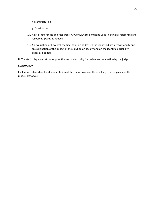#### f. Manufacturing

- g. Construction
- 14. A list of references and resources; APA or MLA style must be used in citing all references and resources; pages as needed
- 15. An evaluation of how well the final solution addresses the identified problem/disability and an explanation of the impact of the solution on society and on the identified disability; pages as needed
- D. The static display must not require the use of electricity for review and evaluation by the judges.

#### **EVALUATION**

Evaluation is based on the documentation of the team's work on the challenge, the display, and the model/prototype.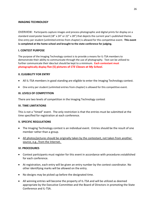#### **IMAGING TECHNOLOGY**

OVERVIEW: Participants capture images and process photographic and digital prints for display on a standard sized poster board (18" x 24" or 22" x 28") that depicts the current year's published theme. One entry per student (unlimited entries from chapter) is allowed for this competitive event. **This event is completed at the home school and brought to the state conference for judging.**

#### **I. CONTEST PURPOSE**

The purpose of the Imaging Technology contest is to provide a means for IL-TSA members to demonstrate their ability to communicate through the use of photography. Text can be utilized to further communicate their idea but should be kept to a minimum. **Each contestant must photographically display five (5) pictures of** *CTE Classes at My School***.**

#### **II. ELIGIBILITY FOR ENTRY**

- All IL-TSA members in good standing are eligible to enter the Imaging Technology contest.
- One entry per student (unlimited entries from chapter) is allowed for this competitive event.

#### **III. LEVELS OF COMPETITION**

There are two levels of competition in the Imaging Technology contest

#### **IV. TIME LIMITATIONS**

This is not a "timed" event. The only restriction is that the entries must be submitted at the time specified for registration at each conference.

#### **V. SPECIFIC REGULATIONS**

- The Imaging Technology contest is an individual event. Entries should be the result of one member rather than a group.
- All photos/pictures should be originally taken by the contestant, not taken from another source, e.g., from the Internet.

#### **VI. PROCEDURES**

- Contest participants must register for this event in accordance with procedures established for each conference.
- At registration, each entry will be given an entry number by the contest coordinator. No other identifying marks will be allowed on the entry.
- No designs may be picked up before the designated time.
- All winning entries will become the property of IL-TSA and will be utilized as deemed appropriate by the Executive Committee and the Board of Directors in promoting the State Conference and IL-TSA.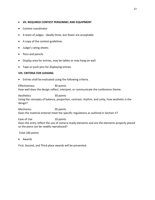#### • **VII. REQUIRED CONTEST PERSONNEL AND EQUIPMENT**

- Contest coordinator
- A team of judges ideally three, but fewer are acceptable
- A copy of the contest guidelines
- Judge's rating sheets
- Pens and pencils
- Display area for entries, may be tables or may hang on wall
- Tape or push pins for displaying entries

#### **VIII. CRITERIA FOR JUDGING**

• Entries shall be evaluated using the following criteria.

Effectiveness 40 points How well does the design reflect, interpret, or communicate the conference theme.

Aesthetics 30 points Using the concepts of balance, proportion, contrast, rhythm, and unity, how aesthetic is the design?

Mechanics 20 points Does the material entered meet the specific regulations as outlined in Section V?

Ease of Use 10 points Does the entry reflect the use of camera-ready elements and are the elements properly placed so the piece can be readily reproduced?

Total 100 points

• Awards

First, Second, and Third place awards will be presented.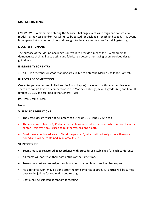#### **MARINE CHALLENGE**

OVERVIEW: TSA members entering the Marine Challenge event will design and construct a model marine vessel and/or vessel hull to be tested for payload strength and speed. This event is completed at the home school and brought to the state conference for judging/testing.

#### **I. CONTEST PURPOSE**

The purpose of the Marine Challenge Contest is to provide a means for TSA members to demonstrate their ability to design and fabricate a vessel after having been provided design guidelines.

#### **II. ELIGIBILITY FOR ENTRY**

• All IL-TSA members in good standing are eligible to enter the Marine Challenge Contest.

#### **III. LEVELS OF COMPETITION**

One entry per student (unlimited entries from chapter) is allowed for this competitive event. There are two (2) levels of competition in the Marine Challenge, Level I (grades 6-9) and Level II (grades 10-12), as described in the General Rules.

#### **IV. TIME LIMITATIONS**

None.

#### **V. SPECIFIC REGULATIONS**

- The vessel design must not be larger than 6" wide x 10" long x 2.5" deep
- The vessel must have a 1/4" diameter eye hook secured to the front, which is directly in the center – this eye hook is used to pull the vessel along a path.
- Must have a dedicated area to "hold the payload", which will not weigh more than one pound and will be contained in an area 3" x 3".

#### **VI. PROCEDURE**

- Teams must be registered in accordance with procedures established for each conference.
- All teams will construct their boat entries at the same time.
- Teams may test and redesign their boats until the two hour time limit has expired.
- No additional work may be done after the time limit has expired. All entries will be turned over to the judges for evaluation and testing.
- Boats shall be selected at random for testing.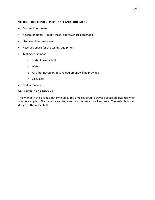#### **VII. REQUIRED CONTEST PERSONNEL AND EQUIPMENT**

- Contest Coordinator
- A team of judges ideally three, but fewer are acceptable
- Stop watch to time event
- Reserved space for the testing equipment
- Testing equipment
	- o Portable water tank
	- o Water
	- o All other necessary testing equipment will be provided
	- o Calculator
- Evaluation forms

#### **VIII. CRITERIA FOR JUDGING**

The winner in this event is determined by the time required to travel a specified distance when a force is applied. The distance and force remain the same for all entrants. The variable is the design of the vessel hull.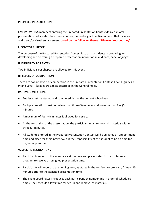#### **PREPARED PRESENTATION**

OVERVIEW: TSA members entering the Prepared Presentation Contest deliver an oral presentation not shorter than three minutes, but no longer than five minutes that includes audio and/or visual enhancement **based on the following theme: "Discover Your Journey".**

#### **I. CONTEST PURPOSE**

The purpose of the Prepared Presentation Contest is to assist students in preparing for developing and delivering a prepared presentation in front of an audience/panel of judges.

#### **II. ELIGIBILITY FOR ENTRY**

Two individuals per chapter are allowed for this event.

#### **III. LEVELS OF COMPETITION**

There are two (2) levels of competition in the Prepared Presentation Contest, Level I (grades 7- 9) and Level II (grades 10-12), as described in the General Rules.

#### **IV. TIME LIMITATIONS**

- Entries must be started and completed during the current school year.
- Each presentation must be no less than three (3) minutes and no more than five (5) minutes.
- A maximum of four (4) minutes is allowed for set-up.
- At the conclusion of the presentation, the participant must remove all materials within three (3) minutes.
- All students entered in the Prepared Presentation Contest will be assigned an appointment time and place for their interview. It is the responsibility of the student to be on time for his/her appointment.

#### **V. SPECIFIC REGULATIONS**

- Participants report to the event area at the time and place stated in the conference program to receive an assigned presentation time.
- Participants will report to the holding area, as stated in the conference program, fifteen (15) minutes prior to the assigned presentation time.
- The event coordinator introduces each participant by number and in order of scheduled times. The schedule allows time for set-up and removal of materials.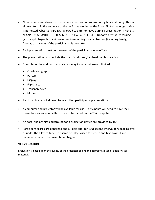- No observers are allowed in the event or preparation rooms during heats, although they are allowed to sit in the audience of the performance during the finals. No talking or gesturing is permitted. Observers are NOT allowed to enter or leave during a presentation. THERE IS NO APPLAUSE UNTIL THE PRESENTATION HAS CONCLUDED. No form of visual recording (such as photographic or video) or audio recording by any observer (including family, friends, or advisors of the participants) is permitted.
- Each presentation must be the result of the participant's own efforts.
- The presentation must include the use of audio and/or visual media materials.
- Examples of the audio/visual materials may include but are not limited to:
	- Charts and graphs
	- Posters
	- Displays
	- Flip charts
	- Transparencies
	- Models
- Participants are not allowed to hear other participants' presentations.
- A computer and projector will be available for use. Participants will need to have their presentations saved on a flash drive to be placed on the TSA computer.
- An easel and a white background for a projection device are provided by TSA.
- Participant scores are penalized one (1) point per ten (10) second interval for speaking over or under the allotted time. The same penalty is used for set-up and takedown. Time commences when the presentation begins.

#### **VI. EVALUATION**

Evaluation is based upon the quality of the presentation and the appropriate use of audio/visual materials.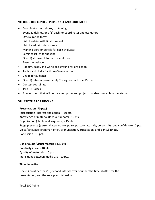#### **VII. REQUIRED CONTEST PERSONNEL AND EQUIPMENT**

- Coordinator's notebook, containing: Event guidelines, one (1) each for coordinator and evaluators Official rating forms List of entries with finalist report List of evaluators/assistants Marking pens or pencils for each evaluator Semifinalist list for posting One (1) stopwatch for each event room Results envelope
- Podium, easel, and white background for projection
- Tables and chairs for three (3) evaluators
- Chairs for audience
- One (1) table, approximately 6' long, for participant's use
- Contest coordinator
- Two (2) judges
- Area or room that will house a computer and projector and/or poster board materials

#### **VIII. CRITERIA FOR JUDGING**

#### **Presentation (70 pts.)**

Introduction (interest and appeal) - 10 pts. Knowledge of material (factual support) - 15 pts. Organization (clarity and sequence) - 15 pts. Stage presence (personal appearance, poise, posture, attitude, personality, and confidence) 10 pts. Voice/language (grammar, pitch, pronunciation, articulation, and clarity) 10 pts. Conclusion - 10 pts.

#### **Use of audio/visual materials (30 pts.)**

Creativity in use - 10 pts. Quality of materials - 10 pts. Transitions between media use - 10 pts.

#### **Time deduction**

One (1) point per ten (10)-second interval over or under the time allotted for the presentation, and the set-up and take-down.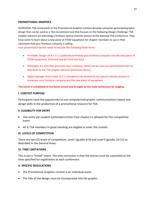#### **PROMOTIONAL GRAPHICS**

OVERVIEW: TSA contestants in the Promotional Graphics Contest develop computer-generated graphic design that can be used as a TSA recruitment tool that focuses on the following Design Challenge: TSA chapter advisors are attending a fictitious special interest session at the National TSA Conference. They have come to learn about a new piece of STEM equipment for chapter members to use in their classroom that your fictitious company is selling.

Your promotional toolkit needs to include the following three items.

- Printable: Design an 8  $\frac{1}{2}$  X 11 postcard promoting your fictitious company and the new piece of STEM equipment. Postcard may be front and back.
- Wearable: A t-shirt that promotes your company, which can be used as a promotional item to distribute to the TSA chapter advisors (potential clients).
- Digital Signage: Short video (2-2 % minutes) to be showed at the special interest session to showcase your fictitious company and the new piece of equipment.

#### **This event is completed at the home school and brought to the state conference for judging.**

#### **I. CONTEST PURPOSE**

Participants have the opportunity to use computerized graphic communications layout and design skills in the production of a promotional resource for TSA.

#### **II. ELIGIBILITY FOR ENTRY**

- One entry per student (unlimited entries from chapter) is allowed for this competitive event.
- All IL-TSA members in good standing are eligible to enter the contest.

#### **III. LEVELS OF COMPETITION**

There are two (2) levels of competition, Level I (grades 6-9) and Level II (grades 10-12) as described in the General Rules.

#### **IV. TIME LIMITATIONS**

This is not a "timed" event. The only restriction is that the entries must be submitted at the time specified for registration at each conference.

#### **V. SPECIFIC REGULATIONS**

- The Promotional Graphics contest is an individual event.
- The title of the design must be incorporated into the graphic.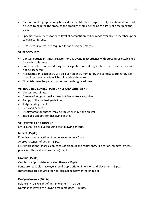- Captions under graphics may be used for identification purposes only. Captions should not be used to help tell the story, as the graphics should be telling the story or describing the place.
- Specific requirements for each level of competition will be made available to members prior to each conference.
- References (source) are required for non-original images.

#### **VI. PROCEDURES**

- Contest participants must register for this event in accordance with procedures established for each conference.
- Entries must be entered during the designated contest registration time. Late entries will not be accepted.
- At registration, each entry will be given an entry number by the contest coordinator. No other identifying marks will be allowed on the entry.
- No entries may be picked up before the designated time.

#### **VII. REQUIRED CONTEST PERSONNEL AND EQUIPMENT**

- Contest coordinator
- A team of judges ideally three but fewer are acceptable
- A copy of the contest guidelines
- Judge's rating sheets
- Pens and pencils
- Display area for entries, may be tables or may hang on wall
- Tape or push pins for displaying entries

#### **VIII. CRITERIA FOR JUDGING**

Entries shall be evaluated using the following criteria.

#### **Impact (15 pts)**

Effective communication of conference theme - 5 pts.

Appropriateness of design - 5 pts.

First impressions (sharp clean edges of graphics and fonts; entry is clear of smudges, smears, pencil or other extraneous marks) - 5 pts.

#### **Graphic (15 pts)**

Graphic is appropriate for stated theme - 10 pts. Fonts are readable, have eye appeal, appropriate dimension and placement - 5 pts. [References are required for non-original or copyrighted image(s).]

#### **Design elements (40 pts)**

Balance (visual weight of design elements) - 10 pts. Dominance (eyes are drawn to main message) - 10 pts.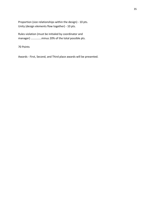Proportion (size relationships within the design) - 10 pts. Unity (design elements flow together) - 10 pts.

Rules violation (must be initialed by coordinator and manager) ..............minus 20% of the total possible pts.

70 Points

Awards - First, Second, and Third place awards will be presented.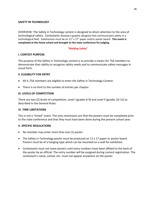#### **SAFETY IN TECHNOLOGY**

OVERVIEW: The Safety in Technology contest is designed to direct attention to the area of technological safety. Contestants develop a graphic design(s) that communicates safety in a technological field. Submissions must be on 11" x 17" paper and/or poster board. **This event is completed at the home school and brought to the state conference for judging.**

#### **"Welding Safety"**

#### **I. CONTEST PURPOSE**

The purpose of the Safety in Technology contest is to provide a means for TSA members to demonstrate their ability to recognize safety needs and to communicate safety messages in visual form.

#### **II. ELIGIBILITY FOR ENTRY**

- All IL-TSA members are eligible to enter the Safety in Technology Contest.
- There is no limit to the number of entries per chapter.

#### **III. LEVELS OF COMPETITION**

There are two (2) levels of competition, Level I (grades 6-9) and Level II (grades 10-12) as described in the General Rules.

#### **IV. TIME LIMITATIONS**

This is not a "timed" event. The only restrictions are that the posters must be completed prior to the state conference and that they must have been done during the present school year.

#### **V. SPECIFIC REGULATIONS**

- No member may enter more than one (1) poster.
- The Safety in Technology poster must be produced on 11 x 17 paper or poster board. Posters must be of a hanging type which can be mounted on a wall for exhibition.
- Contestants must not leave posters until entry numbers have been affixed to the back of the poster by an official. The entry number will be assigned during contest registration. The contestant's name, school, etc. must not appear anywhere on the poster.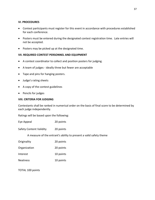#### **VI. PROCEDURES**

- Contest participants must register for this event in accordance with procedures established for each conference.
- Posters must be entered during the designated contest registration time. Late entries will not be accepted.
- Posters may be picked up at the designated time.

#### **VII. REQUIRED CONTEST PERSONNEL AND EQUIPMENT**

- A contest coordinator to collect and position posters for judging.
- A team of judges ideally three but fewer are acceptable
- Tape and pins for hanging posters.
- Judge's rating sheets
- A copy of the contest guidelines
- Pencils for judges

#### **VIII. CRITERIA FOR JUDGING**

Contestants shall be ranked in numerical order on the basis of final score to be determined by each judge independently.

Ratings will be based upon the following:

Eye Appeal 20 points

Safety Content Validity 20 points

A measure of the entrant's ability to present a valid safety theme

| Originality  | 20 points |
|--------------|-----------|
| Organization | 20 points |

Interest 10 points

Neatness 10 points

TOTAL 100 points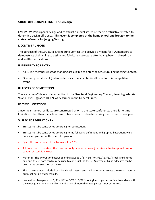#### **STRUCTURAL ENGINEERING – Truss Design**

OVERVIEW: Participants design and construct a model structure that is destructively tested to determine design efficiency. **This event is completed at the home school and brought to the state conference for judging/testing.**

#### **I. CONTEST PURPOSE**

The purpose of the Structural Engineering Contest is to provide a means for TSA members to demonstrate their ability to design and fabricate a structure after having been assigned span and width specifications.

#### **II. ELIGIBILITY FOR ENTRY**

- All IL-TSA members in good standing are eligible to enter the Structural Engineering Contest.
- One entry per student (unlimited entries from chapter) is allowed for this competitive event.

#### **III. LEVELS OF COMPETITION**

There are two (2) levels of competition in the Structural Engineering Contest, Level I (grades 6- 9) and Level II (grades 10-12), as described in the General Rules.

#### **IV. TIME LIMITATIONS**

Since the structural artifacts are constructed prior to the state conference, there is no time limitation other than the artifacts must have been constructed during the current school year.

#### **V. SPECIFIC REGULATIONS –**

- Trusses must be constructed according to specifications.
- Trusses must be constructed according to the following definitions and graphic illustrations which are an integral part of the contest regulations.
- Span: The overall span of the truss must be 12".
- All stock used to construct the truss may only have adhesive at joints (no adhesive spread over or coating of stock is allowed).
- Materials: The amount of basswood or balsawood 1/8" x 1/8" or 3/32" x 3/32" stock is unlimited and one 3" x 5" note card may be used to construct the truss. Any type of liquid adhesive can be used in the construction of the truss.
- The structure must include 2 or 4 individual trusses, attached together to create the truss structure, but must not be wider than 3".
- Lamination: Two pieces of  $1/8$ " x  $1/8$ " or  $3/32$ " x  $3/32$ " stock glued together surface-to-surface with the wood grain running parallel. Lamination of more than two pieces is not permitted.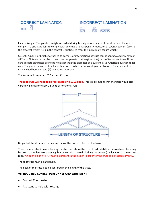

## **INCORRECT LAMINATION MXMXX**

Failure Weight: The greatest weight recorded during testing before failure of the structure. Failure to comply: If a structure fails to comply with any regulation, a penalty reduction of twenty percent (20%) of the greatest weight held in the contest is subtracted from the individual's failure weight.

Gusset: A panel or bracket attached to corners or intersections of truss components to add strength or stiffness. Note cards may be cut and used as gussets to strengthen the joints of truss structures. Note card gussets on trusses are to be no larger than the diameter of a current issue American quarter dollar coin. The gussets may not touch another note card gusset or overlap other trusses. They may not be sandwiched between two (2) laminated members.

The tester will be set at 10" for the 12" truss.

**The roof truss will need to be fabricated on a 5/12 slope**. This simply means that the truss would rise vertically 5 units for every 12 units of horizontal run.



No part of the structure may extend below the bottom chord of the truss.

Truss members to simulate decking may be used above the truss to add stability. Internal members may be used to simulate cross bracing, but be certain to avoid blocking the center (the location of the testing rod). An opening of  $\frac{y''}{x} \times \frac{y''}{x}$  must be present in the design in order for the truss to be tested correctly.

The roof truss must be a triangle.

The peak of the truss is to be centered in the length of the truss.

#### **VII. REQUIRED CONTEST PERSONNEL AND EQUIPMENT**

- Contest Coordinator
- Assistant to help with testing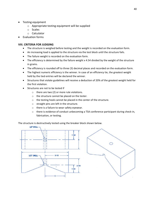- Testing equipment
	- o Appropriate testing equipment will be supplied
	- o Scales
	- o Calculator
	- Evaluation forms

#### **VIII. CRITERIA FOR JUDGING**

- The structure is weighed before testing and the weight is recorded on the evaluation form.
- An increasing load is applied to the structure via the test block until the structure fails.
- The failure weight is recorded on the evaluation form.
- The efficiency is determined by the failure weight x 4.54 divided by the weight of the structure in grams.
- The efficiency is rounded off to three (3) decimal places and recorded on the evaluation form.
- The highest numeric efficiency is the winner. In case of an efficiency tie, the greatest weight held by the tied entries will be declared the winner.
- Structures that violate guidelines will receive a deduction of 20% of the greatest weight held for the first violation.
- Structures are not to be tested if
	- o there are two (2) or more rule violations.
	- o the structure cannot be placed on the tester.
	- o the testing hook cannot be placed in the center of the structure.
	- o straight pins are left in the structure.
	- o there is a failure to wear safety eyewear.
	- $\circ$  there is evidence of conduct unbecoming a TSA conference participant during check-in, fabrication, or testing.

The structure is destructively tested using the breaker block shown below.

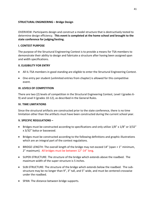#### **STRUCTURAL ENGINEERING – Bridge Design**

OVERVIEW: Participants design and construct a model structure that is destructively tested to determine design efficiency. **This event is completed at the home school and brought to the state conference for judging/testing.**

#### **I. CONTEST PURPOSE**

The purpose of the Structural Engineering Contest is to provide a means for TSA members to demonstrate their ability to design and fabricate a structure after having been assigned span and width specifications.

#### **II. ELIGIBILITY FOR ENTRY**

- All IL-TSA members in good standing are eligible to enter the Structural Engineering Contest.
- One entry per student (unlimited entries from chapter) is allowed for this competitive event.

#### **III. LEVELS OF COMPETITION**

There are two (2) levels of competition in the Structural Engineering Contest, Level I (grades 6- 9) and Level II (grades 10-12), as described in the General Rules.

#### **IV. TIME LIMITATIONS**

Since the structural artifacts are constructed prior to the state conference, there is no time limitation other than the artifacts must have been constructed during the current school year.

#### **V. SPECIFIC REGULATIONS –**

- Bridges must be constructed according to specifications and only utilize  $1/8$ " x  $1/8$ " or  $3/32$ " x 3/32" balsa or basswood.
- Bridges must be constructed according to the following definitions and graphic illustrations which are an integral part of the contest regulations.
- BRIDGE LENGTH: The overall length of the bridge may not exceed 14" (span + 1" minimum, 2" maximum). All bridges must be between 12"-14" long.
- SUPER-STRUCTURE: The structure of the bridge which extends above the roadbed. The maximum width of the super-structure is 5 inches.
- SUB-STRUCTURE: The structure of the bridge which extends below the roadbed. The substructure may be no longer than 9", 3" tall, and 5" wide, and must be centered crosswise under the roadbed.
- SPAN: The distance between bridge supports.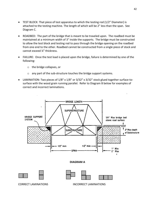- TEST BLOCK: That piece of test apparatus to which the testing rod (1/2" Diameter) is attached to the testing machine. The length of which will be 2" less than the span. See Diagram C.
- ROADBED: The part of the bridge that is meant to be traveled upon. The roadbed must be maintained at a minimum width of 3" inside the supports. The bridge must be constructed to allow the test block and testing rod to pass through the bridge opening on the roadbed from one end to the other. Roadbed cannot be constructed from a single piece of stock and cannot exceed ¼" thickness.
- FAILURE: Once the test load is placed upon the bridge, failure is determined by one of the following:
	- o the bridge collapses, or
	- o any part of the sub-structure touches the bridge support systems.
- LAMINATION: Two pieces of 1/8" x 1/8" or 3/32" x 3/32" stock glued together surface-tosurface with the wood grain running parallel. Refer to Diagram B below for examples of correct and incorrect laminations.

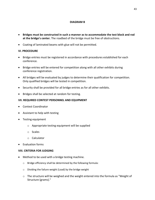#### **DIAGRAM B**

- **Bridges must be constructed in such a manner as to accommodate the test block and rod at the bridge's center.** The roadbed of the bridge must be free of obstructions.
- Coating of laminated beams with glue will not be permitted.

#### **VI. PROCEDURE**

- Bridge entries must be registered in accordance with procedures established for each conference.
- Bridge entries will be entered for competition along with all other exhibits during conference registration.
- All bridges will be evaluated by judges to determine their qualification for competition. Only qualified bridges will be tested in competition.
- Security shall be provided for all bridge entries as for all other exhibits.
- Bridges shall be selected at random for testing.

#### **VII. REQUIRED CONTEST PERSONNEL AND EQUIPMENT**

- Contest Coordinator
- Assistant to help with testing
- Testing equipment
	- o Appropriate testing equipment will be supplied
	- o Scales
	- o Calculator
- Evaluation forms

#### **VIII. CRITERIA FOR JUDGING**

- Method to be used with a bridge testing machine.
	- o Bridge efficiency shall be determined by the following formula:
	- o Dividing the failure weight (Load) by the bridge weight
	- $\circ$  The structure will be weighed and the weight entered into the formula as "Weight of Structure (grams)."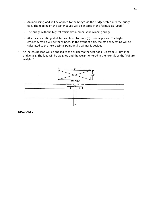- o An increasing load will be applied to the bridge via the bridge tester until the bridge fails. The reading on the tester gauge will be entered in the formula as "Load."
- o The bridge with the highest efficiency number is the winning bridge.
- o All efficiency ratings shall be calculated to three (3) decimal places. The highest efficiency rating will be the winner. In the event of a tie, the efficiency rating will be calculated to the next decimal point until a winner is decided.
- An increasing load will be applied to the bridge via the test hook (Diagram C) until the bridge fails. The load will be weighed and the weight entered in the formula as the "Failure Weight."



#### **DIAGRAM C**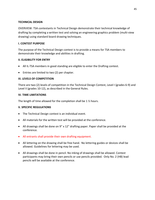#### **TECHNICAL DESIGN**

OVERVIEW: TSA contestants in Technical Design demonstrate their technical knowledge of drafting by completing a written test and solving an engineering graphics problem (multi-view drawing) using standard board drawing techniques.

#### **I. CONTEST PURPOSE**

The purpose of the Technical Design contest is to provide a means for TSA members to demonstrate their knowledge and abilities in drafting.

#### **II. ELIGIBILITY FOR ENTRY**

- All IL-TSA members in good standing are eligible to enter the Drafting contest.
- Entries are limited to two (2) per chapter.

#### **III. LEVELS OF COMPETITION**

There are two (2) levels of competition in the Technical Design Contest, Level I (grades 6-9) and Level II (grades 10-12), as described in the General Rules.

#### **IV. TIME LIMITATIONS**

The length of time allowed for the completion shall be 1 ½ hours.

#### **V. SPECIFIC REGULATIONS**

- The Technical Design contest is an individual event.
- All materials for the written test will be provided at the conference.
- All drawings shall be done on 9" x 12" drafting paper. Paper shall be provided at the conference.
- All entrants shall provide their own drafting equipment.
- All lettering on the drawing shall be free hand. No lettering guides or devices shall be allowed. Guidelines for lettering may be used.
- All drawings shall be done in pencil. No inking of drawings shall be allowed. Contest participants may bring their own pencils or use pencils provided. Only No. 2 (HB) lead pencils will be available at the conference.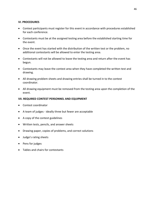#### **VI. PROCEDURES**

- Contest participants must register for this event in accordance with procedures established for each conference.
- Contestants must be at the assigned testing area before the established starting time for the event.
- Once the event has started with the distribution of the written test or the problem, no additional contestants will be allowed to enter the testing area.
- Contestants will not be allowed to leave the testing area and return after the event has begun.
- Contestants may leave the contest area when they have completed the written test and drawing.
- All drawing problem sheets and drawing entries shall be turned in to the contest coordinator.
- All drawing equipment must be removed from the testing area upon the completion of the event.

#### **VII. REQUIRED CONTEST PERSONNEL AND EQUIPMENT**

- Contest coordinator
- A team of judges ideally three but fewer are acceptable
- A copy of the contest guidelines
- Written tests, pencils, and answer sheets
- Drawing paper, copies of problems, and correct solutions
- Judge's rating sheets
- Pens for judges
- Tables and chairs for contestants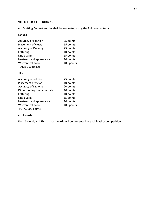#### **VIII. CRITERIA FOR JUDGING**

• Drafting Contest entries shall be evaluated using the following criteria.

#### LEVEL I

| Accuracy of solution       | 25 points  |
|----------------------------|------------|
| <b>Placement of views</b>  | 15 points  |
| <b>Accuracy of Drawing</b> | 25 points  |
| Lettering                  | 10 points  |
| Line quality               | 15 points  |
| Neatness and appearance    | 10 points  |
| Written test score         | 100 points |
| <b>TOTAL 200 points</b>    |            |
| <b>LEVEL II</b>            |            |
| Accuracy of solution       | 25 points  |
| <b>Placement of views</b>  | 10 points  |
| <b>Accuracy of Drawing</b> | 20 points  |
| Dimensioning fundamentals  | 10 points  |
| Lettering                  | 10 points  |
| Line quality               | 15 points  |
| Neatness and appearance    | 10 points  |
| Written test score         | 100 points |
| <b>TOTAL 200 points</b>    |            |

• Awards

First, Second, and Third place awards will be presented in each level of competition.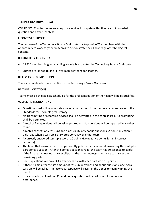#### **TECHNOLOGY BOWL - ORAL**

OVERVIEW: Chapter teams entering this event will compete with other teams in a verbal question and answer contest.

#### **I. CONTEST PURPOSE**

The purpose of the Technology Bowl - Oral contest is to provide TSA members with the opportunity to work together in teams to demonstrate their knowledge of technological content.

#### **II. ELIGIBILITY FOR ENTRY**

- All TSA members in good standing are eligible to enter the Technology Bowl Oral contest.
- Entries are limited to one (1) five-member team per chapter.

#### **III. LEVELS OF COMPETITION**

There are two levels of competition in the Technology Bowl - Oral event.

#### **IV. TIME LIMITATIONS**

Teams must be available as scheduled for the oral competition or the team will be disqualified.

#### **V. SPECIFIC REGULATIONS**

- Questions used will be alternately selected at random from the seven content areas of the Standards for Technological Literacy.
- No transmitting or recording devices shall be permitted in the contest area. No prompting shall be permitted.
- A total of five questions will be asked per round. No questions will be repeated in another round.
- A match consists of 5 toss-ups and a possibility of 5 bonus questions (A bonus question is only read when a toss-up is answered correctly by either team).
- A correctly answered toss-up is worth 10 points (No negative points for an incorrect response).
- The team that answers the toss-up correctly gets the first chance at answering the multiplepart bonus question. After the bonus question is read, the team has 30 seconds to confer. If the first team does not answer all parts, the other team gets a chance to answer the remaining parts.
- Bonus questions will have 3-4 answers/parts, with each part worth 5 points.
- If there is a tie after the set amount of toss-up questions and bonus questions, one extra toss-up will be asked. An incorrect response will result in the opposite team winning the match
- In case of a tie, at least one (1) additional question will be asked until a winner is determined.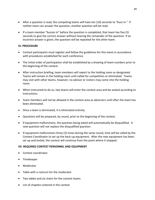- After a question is read, the competing teams will have ten (10) seconds to "buzz in." If neither team can answer the question, another question will be read.
- If a team member "buzzes in" before the question is completed, that team has five (5) seconds to give the correct answer without hearing the remainder of the question. If an incorrect answer is given, the question will be repeated for the other team.

#### **VI. PROCEDURE**

- Contest participants must register and follow the guidelines for this event in accordance with procedures established for each conference.
- The initial order of participation shall be established by a drawing of team numbers prior to the beginning of the contest.
- After instruction briefing, team members will report to the holding room as designated. Teams will remain in the holding room until called for competition or eliminated. Teams may visit with other teams, however, no advisor or visitors may come into the holding room.
- When instructed to do so, two teams will enter the contest area and be seated according to instructions.
- Team members will not be allowed in the contest area as observers until after the team has been eliminated.
- Once a team is eliminated, it is eliminated entirely.
- Questions will be prepared, by round, prior to the beginning of the contest.
- If equipment malfunctions, the question being asked will automatically be disqualified. A new question will not replace the disqualified question.
- If equipment malfunctions three (3) times during the same round, time will be called by the Contest Coordinator to set up the back-up equipment. After the new equipment has been set up and tested, the contest will continue from the point where it stopped.

#### **VII. REQUIRED CONTEST PERSONNEL AND EQUIPMENT**

- Contest coordinator
- Timekeeper
- Moderator
- Table with a rostrum for the moderator
- Two tables and six chairs for the contest teams
- List of chapters entered in the contest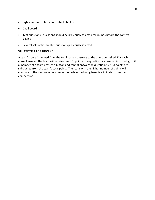- Lights and controls for contestants tables
- Chalkboard
- Test questions questions should be previously selected for rounds before the contest begins
- Several sets of tie-breaker questions previously selected

#### **VIII. CRITERIA FOR JUDGING**

A team's score is derived from the total correct answers to the questions asked. For each correct answer, the team will receive ten (10) points. If a question is answered incorrectly, or if a member of a team presses a button and cannot answer the question, five (5) points are subtracted from the team's total points. The team with the higher number of points will continue to the next round of competition while the losing team is eliminated from the competition.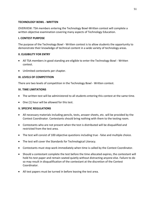#### **TECHNOLOGY BOWL - WRITTEN**

OVERVIEW: TSA members entering the Technology Bowl-Written contest will complete a written objective examination covering many aspects of Technology Education.

#### **I. CONTEST PURPOSE**

The purpose of the Technology Bowl - Written contest is to allow students the opportunity to demonstrate their knowledge of technical content in a wide variety of technology areas.

#### **II. ELIGIBILITY FOR ENTRY**

- All TSA members in good standing are eligible to enter the Technology Bowl Written contest.
- Unlimited contestants per chapter.

#### **III. LEVELS OF COMPETITION**

There are two levels of competition in the Technology Bowl - Written contest.

#### **IV. TIME LIMITATIONS**

- The written test will be administered to all students entering this contest at the same time.
- One (1) hour will be allowed for this test.

#### **V. SPECIFIC REGULATIONS**

- All necessary materials including pencils, tests, answer sheets, etc. will be provided by the Contest Coordinator. Contestants should bring nothing with them to the testing room.
- Contestants who are not present when the test is distributed will be disqualified and restricted from the test area.
- The test will consist of 100 objective questions including true false and multiple choice.
- The test will cover the Standards for Technological Literacy.
- Contestants must stop work immediately when time is called by the Contest Coordinator.
- Should a contestant complete the test before the time allocated expires, the contestant will hold his test paper and remain seated quietly without distracting anyone else. Failure to do so may result in disqualification of the contestant at the discretion of the Contest Coordinator.
- All test papers must be turned in before leaving the test area.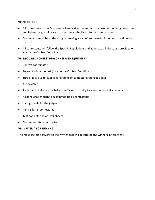#### **VI. PROCEDURE**

- All contestants in the Technology Bowl-Written event must register at the designated time and follow the guidelines and procedures established for each conference.
- Contestants must be at the assigned testing area before the established starting time for the test.
- All contestants will follow the Specific Regulations and adhere to all directions provided on site by the Contest Coordinator.

#### **VII. REQUIRED CONTEST PERSONNEL AND EQUIPMENT**

- Contest coordinator
- Person to time the test (may be the Contest Coordinator)
- Three (3) to five (5) judges for grading or computer grading facilities
- A stopwatch
- Tables and chairs or armchairs in sufficient quantity to accommodate all contestants
- A room large enough to accommodate all contestants
- Rating sheets for the judges
- Pencils for all contestants
- Test booklets and answer sheets
- Contest results reporting form

#### **VIII. CRITERIA FOR JUDGING**

The most correct answers on the written test will determine the winners in this event.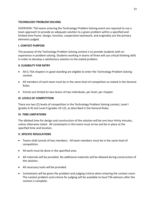#### **TECHNOLOGY PROBLEM SOLVING**

OVERVIEW: TSA teams entering the Technology Problem Solving event are required to use a team approach to provide an adequate solution to a given problem within a specified and limited time frame. Design, function, cooperative teamwork, and originality are the primary elements judged.

#### **I. CONTEST PURPOSE**

The purpose of the Technology Problem Solving contest is to provide students with an experience in problem solving. Students working in teams of three will use critical thinking skills in order to develop a satisfactory solution to the stated problem.

#### **II. ELIGIBILITY FOR ENTRY**

- All IL-TSA chapters in good standing are eligible to enter the Technology Problem Solving contest.
- All members of each team must be in the same level of competition as stated in the General Rules.
- Entries are limited to two teams of two individuals, per level, per chapter.

#### **III. LEVELS OF COMPETITION**

There are two (2) levels of competition in the Technology Problem Solving contest, Level I (grades 6-9) and Level II (grades 10-12), as described in the General Rules.

#### **IV. TIME LIMITATIONS**

The allotted time for design and construction of the solution will be one hour-thirty minutes, unless otherwise noted. All contestants in this event must arrive and be in place at the specified time and location.

#### **V. SPECIFIC REGULATIONS**

- Teams shall consist of two members. All team members must be in the same level of competition.
- All work must be done in the specified area.
- All materials will be provided. No additional materials will be allowed during construction of the solution.
- All necessary tools will be provided.
- Contestants will be given the problem and judging criteria when entering the contest room. The contest problem and criteria for judging will be available to local TSA advisors after the contest is complete.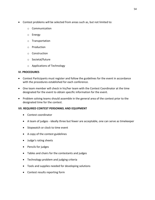- Contest problems will be selected from areas such as, but not limited to:
	- o Communication
	- o Energy
	- o Transportation
	- o Production
	- o Construction
	- o Societal/future
	- o Applications of Technology

#### **VI. PROCEDURES**

- Contest Participants must register and follow the guidelines for the event in accordance with the procedures established for each conference.
- One team member will check in his/her team with the Contest Coordinator at the time designated for the event to obtain specific information for the event.
- Problem solving teams should assemble in the general area of the contest prior to the designated time for the contest.

#### **VII. REQUIRED CONTEST PERSONNEL AND EQUIPMENT**

- Contest coordinator
- A team of judges ideally three but fewer are acceptable, one can serve as timekeeper
- Stopwatch or clock to time event
- A copy of the contest guidelines
- Judge's rating sheets
- Pencils for judges
- Tables and chairs for the contestants and judges
- Technology problem and judging criteria
- Tools and supplies needed for developing solutions
- Contest results reporting form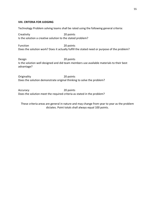#### **VIII. CRITERIA FOR JUDGING**

Technology Problem solving teams shall be rated using the following general criteria:

Creativity 20 points Is the solution a creative solution to the stated problem?

Function 20 points Does the solution work? Does it actually fulfill the stated need or purpose of the problem?

Design 20 points Is the solution well designed and did team members use available materials to their best advantage?

Originality 20 points Does the solution demonstrate original thinking to solve the problem?

Accuracy 20 points Does the solution meet the required criteria as stated in the problem?

These criteria areas are general in nature and may change from year to year as the problem dictates. Point totals shall always equal 100 points.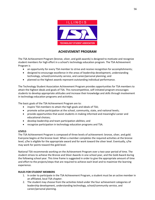

#### **ACHIEVEMENT PROGRAM**

The TSA Achievement Program (bronze, silver, and gold awards) is designed to motivate and recognize student members for high effort in a school's technology education program. The TSA Achievement Program is

- an opportunity for every TSA member to strive and receive recognition for accomplishments;
- designed to encourage excellence in the areas of leadership development, understanding technology, school/community service, and career/personal planning; and
- planned so the highest awards represent outstanding individual performance.

The Technology Student Association Achievement Program provides opportunities for TSA members to attain the highest ideals and goals of TSA. This noncompetitive, self-initiated program encourages students to develop appropriate attitudes and increase their knowledge and skills through involvement in technology education programs and activities.

The basic goals of the TSA Achievement Program are to:

- inspire TSA members to attain the high goals and ideals of TSA;
- promote active participation at the school, community, state, and national levels;
- provide opportunities that assist students in making informed and meaningful career and educational choices;
- develop leadership and team participation abilities; and
- recognize participation in technology education programs and TSA.

#### **LEVELS**

The TSA Achievement Program is composed of three levels of achievement: bronze, silver, and gold. Everyone begins at the bronze level. When a member completes the required activities at the bronze level, s/he is eligible for the appropriate award and for work toward the silver level. Eventually, s/he may work for points toward the gold level.

National TSA recommends working on the Achievement Program over a two-year period of time. The student strives to achieve the Bronze and Silver Awards in one school year, and the Gold Award during the following school year. This time frame is suggested in order to give the appropriate amount of time and effort to the projects/steps that are required to achieve each level and to maximize the learning experience.

#### **RULES FOR STUDENT MEMBERS**

- 1. In order to participate in the TSA Achievement Program, a student must be an active member in an affiliated, local TSA chapter.
- 2. The student may choose from the activities listed under the four achievement categories of leadership development, understanding technology, school/community service, and career/personal planning.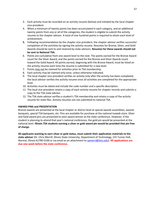- 3. Each activity must be recorded on an activity resume (below) and initialed by the local chapter vice-president.
- 4. When a minimum of twenty points has been accumulated in each category, and an additional twenty points from any or all of the categories, the student is eligible to submit the activity resume to the chapter advisor. A total of one hundred points is required to attain each level of achievement.
- **5.** Following recommendation by the chapter vice-president, the chapter advisor verifies successful completion of the activities by signing the activity resume. Resumes for Bronze, Silver, and Gold Awards should be sent to and retained by state advisors. **Resumes for these awards should not be sent to National TSA.**
- 6. Points are cumulative from one award level to the next. The points earned for the Bronze Award count for the Silver Award, and the points earned for the Bronze and Silver Awards count toward the Gold Award. All points earned, beginning with the Bronze Award, must be listed on the activity resume each time the resume is submitted for a new level.
- 7. Points may not be claimed for activities prior to TSA membership.
- 8. Each activity may be claimed only once, unless otherwise indicated.
- 9. The local chapter vice-president verifies an activity only after the activity has been completed; the local advisor verifies the activity resume once all activities are completed for the appropriate level.
- 10. Activities must be dated and include the code number and a specific description.
- 11. The local vice-president retains a copy of each activity resume for chapter records and submits a copy to the TSA state advisor.
- 12. The TSA state advisor verifies a student's TSA membership and retains a copy of the activity resume for state files. Activity resumes are not submitted to national TSA.

#### **AWARD PINS and PRESENTATION**

Bronze awards are presented at the local chapter or district level at special awards assemblies, awards banquets, special TSA banquets, etc. Pins are available for purchase at the national tsaweb store. Silver and Gold award pins are presented to each award winner at the state conference. However, if the student is planning to attend that year's national conference, the gold pin would be presented at the national level. **Illinois TSA students earning a silver or gold award pin would be provided that pin free of charge.**

**All applicants wanting to earn silver or gold status, must submit their application materials to the state advisor** (Dr. Chris Merrill, Illinois State University, Department of Technology, 215 Turner Hall, Normal, Illinois 61790-5100 or via email as an attachment to [cpmerri@ilstu.edu\)](mailto:cpmerri@ilstu.edu). **All applications are due one week before the state conference.**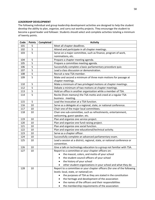#### **LEADERSHIP DEVELOPMENT**

The following individual and group leadership development activities are designed to help the student develop the ability to plan, organize, and carry out worthy projects. They encourage the student to become a good leader and follower. Students should select and complete activities totaling a minimum of twenty points.

| Code | <b>Points</b> | Completed | <b>Activity</b>                                                          |  |  |  |  |  |
|------|---------------|-----------|--------------------------------------------------------------------------|--|--|--|--|--|
| 101  | 5             |           | Meet all chapter deadlines.                                              |  |  |  |  |  |
| 102  | 5             |           | Attend and participate in all chapter meetings.                          |  |  |  |  |  |
| 103  | 5             |           | Serve on a major committee, such as finance, program of work,            |  |  |  |  |  |
|      |               |           | nominations, etc.                                                        |  |  |  |  |  |
| 104  | 5             |           | Prepare a chapter meeting agenda.                                        |  |  |  |  |  |
| 105  | 5             |           | Prepare a committee meeting agenda.                                      |  |  |  |  |  |
| 106  | 5             |           | Successfully complete a basic parliamentary procedure quiz.              |  |  |  |  |  |
| 107  | 5             |           | Lead a class discussion or demonstration.                                |  |  |  |  |  |
| 108  | 5             |           | Recruit a new TSA member.                                                |  |  |  |  |  |
| 109  | 5             |           | Make and second a minimum of three main motions for passage at           |  |  |  |  |  |
|      |               |           | chapter meetings.                                                        |  |  |  |  |  |
| 110  | 5             |           | Make a minimum of two privileged motions at chapter meetings.            |  |  |  |  |  |
| 112  | 5             |           | Debate a minimum of two motions at chapter meetings.                     |  |  |  |  |  |
| 113  | 5             |           | Hold an office in another organization while a member of TSA.            |  |  |  |  |  |
| 114  | 5             |           | Recite (from memory) the TSA motto and creed at a regular TSA            |  |  |  |  |  |
|      |               |           | business meeting.                                                        |  |  |  |  |  |
| 115  | 5             |           | Lead the invocation at a TSA function.                                   |  |  |  |  |  |
| 116  | 10            |           | Serve as a delegate at a regional, state, or national conference.        |  |  |  |  |  |
| 117  | 10            |           | Chair one of the major local committees.                                 |  |  |  |  |  |
| 118  | 10            |           | Chair one sub-committee, such as refreshments, entertainment,            |  |  |  |  |  |
|      |               |           | welcoming, guest speaker, etc.                                           |  |  |  |  |  |
| 119  | 10            |           | Plan and organize one service project.                                   |  |  |  |  |  |
| 120  | 10            |           | Plan and organize one fund raising project.                              |  |  |  |  |  |
| 121  | 10            |           | Plan and organize one social function.                                   |  |  |  |  |  |
| 122  | 10            |           | Plan and organize one educational/technical activity.                    |  |  |  |  |  |
| 123  | 10            |           | Serve as a chapter officer.                                              |  |  |  |  |  |
| 124  | 10            |           | Successfully complete an advanced parliamentary exam.                    |  |  |  |  |  |
| 125  | 10            |           | Lead a session at a district, regional, state, or national conference or |  |  |  |  |  |
|      |               |           | convention.                                                              |  |  |  |  |  |
| 126  | 10            |           | Give a talk on technology education to a group not familiar with TSA.    |  |  |  |  |  |
| 127  | 10            |           | Report to a committee or your chapter officers on:                       |  |  |  |  |  |
|      |               |           | the mascot, colors, and motto of your school                             |  |  |  |  |  |
|      |               |           | the student council officers of your school                              |  |  |  |  |  |
|      |               |           | the history of your school                                               |  |  |  |  |  |
|      |               |           | other student organizations in your school and what they do              |  |  |  |  |  |
| 128  | 10            |           | Report to a committee or your chapter officers (for one of the following |  |  |  |  |  |
|      |               |           | levels: local, state, or national) on:                                   |  |  |  |  |  |
|      |               |           | the purposes of TSA as they are stated in the constitution               |  |  |  |  |  |
|      |               |           | the heritage and development of the association<br>$\bullet$             |  |  |  |  |  |
|      |               |           | the names of the officers and their responsibilities                     |  |  |  |  |  |
|      |               |           | the membership requirements of the association                           |  |  |  |  |  |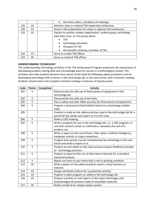|     |    | the times, dates, and places of meetings<br>$\bullet$                                                                                                                                                                                           |
|-----|----|-------------------------------------------------------------------------------------------------------------------------------------------------------------------------------------------------------------------------------------------------|
| 129 | 10 | Attend a state or national TSA leadership conference.                                                                                                                                                                                           |
| 130 | 10 | Assist in the preparation of a state or regional TSA conference.                                                                                                                                                                                |
| 131 | 10 | Explain to another student organization, student group, technology<br>education class, or civic group about:<br>TSA<br>technology education<br>$\bullet$<br>the goals of TSA<br>$\bullet$<br>the benefits of being a member of TSA<br>$\bullet$ |
| 132 | 15 | Serve as a state TSA officer.                                                                                                                                                                                                                   |
| 133 | 20 | Serve as national TSA officer.                                                                                                                                                                                                                  |

#### **UNDERSTANDING TECHNOLOGY**

The Understanding Technology activities in the TSA Achievement Program emphasize the importance of developing problem solving skills and a knowledge base for success in a technological society. The activities also help students become more aware of the need for following safety procedures and for developing technology skills at home, in the technology lab, in the community, and in business settings. Students should select and complete activities totaling a minimum of twenty points.

| Code | <b>Points</b> | Completed | <b>Activity</b>                                                             |
|------|---------------|-----------|-----------------------------------------------------------------------------|
| 201  | 5             |           | Demonstrate the safe use of three pieces of equipment in the                |
|      |               |           | technology lab.                                                             |
| 202  | 5             |           | Demonstrate the safe use of ten tools.                                      |
| 203  | 5             |           | Pass a safety test with 100% accuracy for three pieces of equipment.        |
| 204  | 5             |           | Prepare a classroom/school bulletin board on a technology-related           |
|      |               |           | topic.                                                                      |
| 205  |               |           | Conduct a study on the safety practices used in the technology lab for a    |
|      |               |           | period of two weeks and report on it to the class.                          |
| 206  | 5             |           | Make a CAD drawing.                                                         |
| 207  | 5             |           | Write a program for use in the technology lab, i.e., a CNC program, or      |
|      |               |           | one that converts inches to millimeters, calculates the cost of a           |
|      |               |           | product, etc.                                                               |
| 208  | 5             |           | Write a report on the use of lasers, fiber optics, artificial intelligence, |
|      |               |           | computer control, or super conductors.                                      |
| 209  | 5             |           | Imagine how society may be revolutionized by technology in the near         |
|      |               |           | future and write a report on it.                                            |
| 210  | 5             |           | Prepare an oral report on the input-process-output-feedback principle       |
|      |               |           | of technology practices.                                                    |
| 211  | 5             |           | Prepare a report on the use of alternative materials for a standard         |
|      |               |           | industrial product.                                                         |
| 212  | 5             |           | Repair one item in your home that is not in working condition.              |
| 213  | 10            |           | Write a paper on the safety practices used in a local business or           |
|      |               |           | industry.                                                                   |
| 214  | 10            |           | Design and build a fixture for a production activity.                       |
| 215  | 10            |           | Prepare a video program on safety in the technology lab.                    |
| 216  | 10            |           | Prepare a written or oral report on the major advantages and                |
|      |               |           | disadvantages of products made of recyclable materials.                     |
| 217  | 10            |           | Build a model of an antique power system.                                   |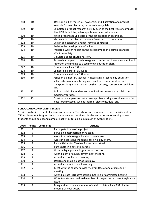| 218 | 10 | Develop a bill of materials, flow chart, and illustration of a product        |
|-----|----|-------------------------------------------------------------------------------|
|     |    | suitable for manufacturing in the technology lab.                             |
| 219 | 10 | Complete a product research activity such as the best type of computer        |
|     |    | disk, USB flash drive, videotape, house paint, adhesive, etc.                 |
| 220 | 10 | Write a report about a state-of-the-art production technique.                 |
| 221 | 10 | Visit an industrial plant and make a flow chart of its operation.             |
| 222 | 10 | Design and construct a robot (remote-controlled).                             |
| 223 | 10 | Assist in the development of a film.                                          |
| 224 | 10 | Prepare a written report on the development of electronics and its            |
|     |    | effect on society.                                                            |
| 225 | 10 | Simulate a space shuttle mission.                                             |
| 226 | 10 | Research an aspect of technology and its effect on the environment and        |
|     |    | report on the findings to a technology education class.                       |
| 227 | 10 | Compete in a local TSA event.                                                 |
| 228 | 10 | Compete in a state TSA event.                                                 |
| 229 | 10 | Compete in a national TSA event.                                              |
| 230 | 10 | Assist an elementary teacher in integrating a technology education            |
|     |    | activity (from manufacturing, construction, communication, and                |
|     |    | transportation) into a class lesson (i.e., rocketry, conservation activities, |
|     |    | $etc.$ ).                                                                     |
| 231 | 15 | Build a model of a modern communications system and explain the               |
|     |    | model to your class.                                                          |
| 232 | 15 | Construct an apparatus that solves a problem using a combination of at        |
|     |    | least three systems, such as thermal, electronic, fluid, etc.                 |

#### **SCHOOL AND COMMUNITY SERVICE**

Service is a basic element of a democratic society. The school and community service activities of the TSA Achievement Program help students develop positive attitudes and a desire for serving others. Students should select and complete activities totaling a minimum of twenty points.

| Code | <b>Points</b> | Completed | <b>Activity</b>                                                          |
|------|---------------|-----------|--------------------------------------------------------------------------|
| 301  | 5             |           | Participate in a service project.                                        |
| 302  | 5             |           | Serve on a membership drive team.                                        |
| 303  | 5             |           | Assist in a technology education open house.                             |
| 304  | 5             |           | Assist in decorating the school for a holiday event.                     |
| 305  | 5             |           | Plan activities for Teacher Appreciation Week.                           |
| 306  | 5             |           | Participate in a patriotic parade.                                       |
| 307  | 5             |           | Observe legal proceedings at a court session.                            |
| 308  | 5             |           | Attend a city or county government meeting.                              |
| 309  | 5             |           | Attend a school board meeting.                                           |
| 310  | 5             |           | Design and make a patriotic display.                                     |
| 311  | 5             |           | Attend a student council meeting.                                        |
| 312  | 5             |           | Meet with the chapter advisory committee at one of its regular           |
|      |               |           | meetings.                                                                |
| 313  | 5             |           | Attend a state legislative session, hearing, or committee hearing.       |
| 314  | 5             |           | Write to a state or national member of congress on a current legislative |
|      |               |           | issue.                                                                   |
| 315  | 5             |           | Bring and introduce a member of a civic club to a local TSA chapter      |
|      |               |           | meeting as your guest.                                                   |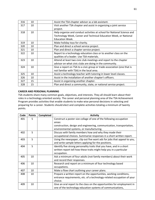| 316 | 10 | Assist the TSA chapter advisor as a lab assistant.                      |
|-----|----|-------------------------------------------------------------------------|
| 317 | 10 | Visit another TSA chapter and assist in organizing a joint service      |
|     |    | project.                                                                |
| 318 | 10 | Help organize and conduct activities at school for National Science and |
|     |    | Technology Week, Career and Technical Education Week, or National       |
|     |    | <b>Education Week.</b>                                                  |
| 319 | 10 | Make holiday toys for charity.                                          |
| 320 | 10 | Plan and direct a school service project.                               |
| 321 | 10 | Plan and direct a chapter service project.                              |
| 322 | 10 | Report to a technology education class or to another class on the       |
|     |    | qualities of a leader. Use TSA materials.                               |
| 323 | 10 | Attend at least two civic club meetings and report to the chapter       |
|     |    | advisor on what civic clubs are doing in the community.                 |
| 324 | 10 | Give a report on TSA to a civic group or trade association (one that is |
|     |    | not familiar with TSA) in the local area.                               |
| 325 | 10 | Assist a technology teacher with tutoring in lower level classes.       |
| 326 | 10 | Assist in the installation of another chapter's officers.               |
| 327 | 15 | Assist in organizing another chapter.                                   |
| 328 | 15 | Plan and direct a community, state, or national service project.        |

#### **CAREER AND PERSONAL PLANNING**

TSA students share many common goals, objectives, and interests. They all should learn about their roles in a technology oriented society. The career and personal planning area of the TSA Achievement Program provides activities that enable students to make wise personal decisions in selecting and preparing for a career. Students should elect and complete activities totaling a minimum of twenty points.

| Code | <b>Points</b> | Completed | <b>Activity</b>                                                          |
|------|---------------|-----------|--------------------------------------------------------------------------|
| 401  | 5             |           | Construct a poster size collage of one of the following occupation       |
|      |               |           | areas:                                                                   |
|      |               |           | construction, design and engineering, communication, transportation,     |
|      |               |           | environmental systems, or manufacturing.                                 |
| 402  | 5             |           | Discuss with family members how and why they made their                  |
|      |               |           | occupational choices. Summarize responses in a short written report.     |
| 403  | 5             |           | Using the newspaper, clip out five want ads for jobs that appeal to you, |
|      |               |           | and write sample letters applying for the positions.                     |
| 404  | 5             |           | Identify five strong personality traits that you have, and in a short    |
|      |               |           | written report tell how these traits might help you in a particular      |
|      |               |           | occupation.                                                              |
| 405  | 10            |           | Ask a minimum of four adults (not family members) about their work       |
|      |               |           | and record their responses.                                              |
| 406  | 10            |           | Research and report on a minimum of four technology based                |
|      |               |           | occupations.                                                             |
| 407  | 10            |           | Make a flow chart outlining your career plans.                           |
| 408  | 10            |           | Prepare a written report on the opportunities, working conditions,       |
|      |               |           | entrance requirements, etc. of a technology-related occupation of your   |
|      |               |           | choice.                                                                  |
| 409  | 10            |           | Give an oral report to the class on the opportunities for employment in  |
|      |               |           | one of the technology education systems of communications,               |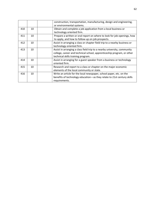|     |    | construction, transportation, manufacturing, design and engineering,<br>or environmental systems.                                                                                        |
|-----|----|------------------------------------------------------------------------------------------------------------------------------------------------------------------------------------------|
| 410 | 10 | Obtain and complete a job application from a local business or<br>technology oriented firm.                                                                                              |
| 411 | 10 | Prepare a written or oral report on where to look for job openings, how<br>to apply, and how to follow-up on job prospects.                                                              |
| 412 | 10 | Assist in arranging a class or chapter field trip to a nearby business or<br>technology oriented firm.                                                                                   |
| 413 | 10 | Assist in arranging a class field trip to a nearby university, community<br>college, career and technical school, apprenticeship program, or other<br>technical skills training program. |
| 414 | 10 | Assist in arranging for a guest speaker from a business or technology<br>oriented firm.                                                                                                  |
| 415 | 10 | Research and report to a class or chapter on the major economic<br>elements of the local community or state.                                                                             |
| 416 | 10 | Write an article for the local newspaper, school paper, etc. on the<br>benefits of technology education—as they relate to 21st century skills<br>requirements.                           |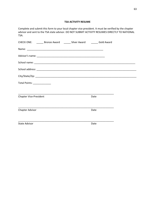#### **TSA ACTIVITY RESUME**

Complete and submit this form to your local chapter vice president. It must be verified by the chapter advisor and sent to the TSA state advisor. DO NOT SUBMIT ACTIVITY RESUMES DIRECTLY TO NATIONAL TSA.

| CHECK ONE: ________ Bronze Award _______ Silver Award ________ Gold Award |  |      |  |
|---------------------------------------------------------------------------|--|------|--|
|                                                                           |  |      |  |
|                                                                           |  |      |  |
|                                                                           |  |      |  |
|                                                                           |  |      |  |
|                                                                           |  |      |  |
| Total Points: ______________                                              |  |      |  |
| <b>Chapter Vice-President</b>                                             |  | Date |  |
| Chapter Advisor                                                           |  | Date |  |
| <b>State Advisor</b>                                                      |  | Date |  |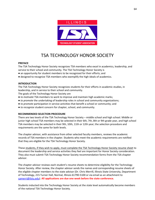

### TSA TECHNOLOGY HONOR SOCIETY

#### **PREFACE**

The TSA Technology Honor Society recognizes TSA members who excel in academics, leadership, and service to their school and community. The TSA Technology Honor Society is

- an opportunity for student members to be recognized for their efforts; and
- designed to recognize TSA members who exemplify the high ideals of academics.

#### **INTRODUCTION**

The TSA Technology Honor Society recognizes students for their efforts in academic studies, in leadership, and in service to their school and community.

The goals of the Technology Honor Society are

- *to motivate* TSA members to work to improve and maintain high academic marks;
- *to promote* the undertaking of leadership roles in school and community organizations;
- *to promote* participation in service activities that benefit a school or community; and
- *to recognize* student concern for chapter, school, and community.

#### **RECOMMENDED SELECTION PROCEDURE**

There are two levels of the TSA Technology Honor Society – middle school and high school. Middle or junior high school TSA members may be selected in their 6th, 7th, 8th or 9th grade year, and high school TSA members may be selected in their 9th, 10th, 11th or 12th year; the selection procedure and requirements are the same for both levels.

The chapter advisor, with assistance from other selected faculty members, reviews the academic records of TSA members in the chapter. Students who meet the academic requirements are notified that they are eligible for the TSA Technology Honor Society.

These students, if they wish to apply, must complete the TSA Technology Honor Society resume sheet to document the leadership and service activities they feel are important for Honor Society consideration. They also must submit TSA Technology Honor Society recommendation forms from the TSA chapter advisor.

The chapter advisor reviews each student's resume sheets to determine eligibility for the Technology Honor Society. After review, the chapter advisor sends the names and corresponding resume sheets of the eligible chapter members to the state advisor (Dr. Chris Merrill, Illinois State University, Department of Technology, 215 Turner Hall, Normal, Illinois 61790-5100 or via email as an attachment to [cpmerri@ilstu.edu\)](mailto:cpmerri@ilstu.edu). **All applications are due one week before the state conference.**

Students inducted into the Technology Honor Society at the state level automatically become members of the national TSA Technology Honor Society.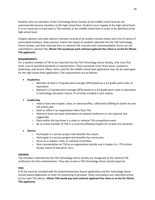Students who are members of the Technology Honor Society at the middle school level do not automatically become members at the high school level. Students must reapply at the high school level. It is not necessary to have been a TSA member at the middle school level in order to be admitted at the high school level.

Chapter advisors and state advisors maintain records of all student resume sheets and a list of names of nominated members. State advisors submit the names of students inducted into the TSA Technology Honor Society, and their inductee fees, to national TSA; resumes and recommendation forms are not submitted to national TSA. **Illinois TSA would pay each national applicant fee; there is no fee for Illinois TSA applicants.**

#### **REQUIREMENTS**

For a student member of TSA to be inducted into the TSA Technology Honor Society, s/he must first meet a set of specified standards or requirements. These standards cover three areas: academics, leadership, and service. (Note: items used for the middle school level application may not be used again for the high school level application.) The requirements are as follows:

- **Academics** 
	- o Maintain at least a 3.0 grade point average (GPA) based on a 4.0 grade point scale, or equivalent.
	- o Maintain a 3.0 grade point average (GPA) based on a 4.0 grade point scale or equivalent in technology education classes, if currently enrolled in such classes.

#### • **Leadership**

- $\circ$  Hold at least one chapter, state, or national office, sufficiently fulfilling its duties for one full school year.
- o Hold an office in an organization other than TSA.
- o Attend at least one state (attendance at national conference is not required, but suggested).
- o Place within the top three in a state or national TSA competitive event.
- $\circ$  Be an active member of TSA in a currently affiliated chapter for at least one semester.
- **Service** 
	- o Participate in a service project that benefits the school.
	- o Participate in a service project that benefits the community.
	- o Serve on a chapter, state, or national committee.
	- o Give a presentation on TSA to an organization outside one's chapter (i.e., PTA school faculty, board of education, etc.).

#### **AWARDS**

TSA members inducted into the TSA Technology Honor Society are recognized at the national TSA conference for their achievements. They also receive a TSA Technology Honor Society lapel pin.

#### **FEES**

A \$5 fee must be included with the Gold Achievement Award application and the Technology Honor Society award application in order for processing to proceed. These nominations are submitted online by the state TSA advisor. **Illinois TSA would pay each national applicant fee; there is no fee for Illinois TSA applicants.**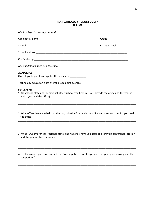#### **TSA TECHNOLOGY HONOR SOCIETY RESUME**

| Must be typed or word processed                                                                                                                             |                             |  |  |  |  |
|-------------------------------------------------------------------------------------------------------------------------------------------------------------|-----------------------------|--|--|--|--|
| Candidate's name experience and a series of the series of the series of the series of the series of the series                                              | Grade __________________    |  |  |  |  |
|                                                                                                                                                             | Chapter Level<br>__________ |  |  |  |  |
|                                                                                                                                                             |                             |  |  |  |  |
|                                                                                                                                                             |                             |  |  |  |  |
| Use additional paper, as necessary.                                                                                                                         |                             |  |  |  |  |
| <b>ACADEMICS</b><br>Overall grade point average for the semester ____________                                                                               |                             |  |  |  |  |
| Technology education class overall grade point average ____________                                                                                         |                             |  |  |  |  |
| <b>LEADERSHIP</b><br>1. What local, state and/or national office(s) have you held in TSA? (provide the office and the year in<br>which you held the office) |                             |  |  |  |  |
|                                                                                                                                                             |                             |  |  |  |  |
| 2. What offices have you held in other organization? (provide the office and the year in which you held<br>the office)                                      |                             |  |  |  |  |
|                                                                                                                                                             |                             |  |  |  |  |
| 3. What TSA conferences (regional, state, and national) have you attended (provide conference location<br>and the year of the conference)                   |                             |  |  |  |  |
|                                                                                                                                                             |                             |  |  |  |  |
| 4. List the awards you have earned for TSA competitive events. (provide the year, your ranking and the<br>competition)                                      |                             |  |  |  |  |
|                                                                                                                                                             |                             |  |  |  |  |

\_\_\_\_\_\_\_\_\_\_\_\_\_\_\_\_\_\_\_\_\_\_\_\_\_\_\_\_\_\_\_\_\_\_\_\_\_\_\_\_\_\_\_\_\_\_\_\_\_\_\_\_\_\_\_\_\_\_\_\_\_\_\_\_\_\_\_\_\_\_\_\_\_\_\_\_\_\_\_\_\_\_\_\_\_